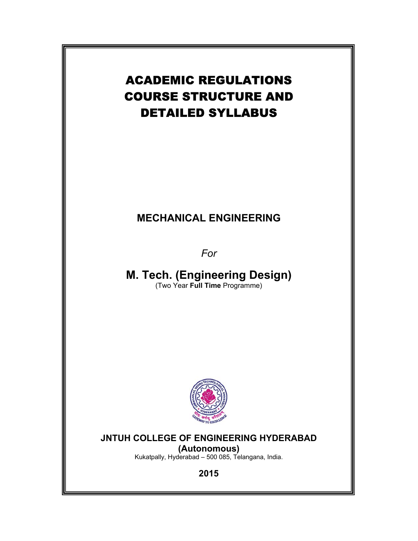# ACADEMIC REGULATIONS COURSE STRUCTURE AND DETAILED SYLLABUS

# **MECHANICAL ENGINEERING**

*For* 

**M. Tech. (Engineering Design)**  (Two Year **Full Time** Programme)



# **JNTUH COLLEGE OF ENGINEERING HYDERABAD (Autonomous)**

Kukatpally, Hyderabad – 500 085, Telangana, India.

**2015**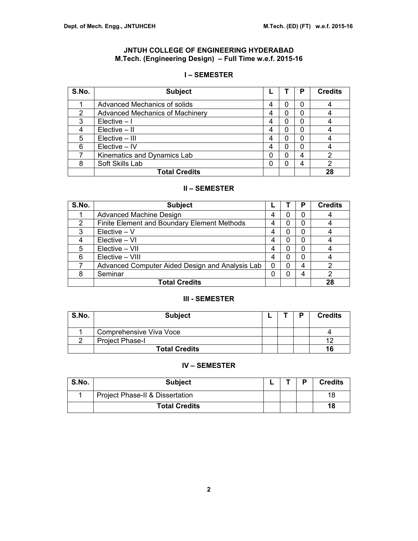# **JNTUH COLLEGE OF ENGINEERING HYDERABAD M.Tech. (Engineering Design) – Full Time w.e.f. 2015-16**

## **I – SEMESTER**

| S.No. | <b>Subject</b>                         |   |   | Р | <b>Credits</b> |
|-------|----------------------------------------|---|---|---|----------------|
|       | Advanced Mechanics of solids           | 4 | 0 | 0 |                |
| 2     | <b>Advanced Mechanics of Machinery</b> | 4 | 0 | 0 |                |
| 3     | $Electric - I$                         | 4 | 0 | 0 |                |
|       | $Electric - II$                        | 4 | 0 | 0 |                |
| 5     | Elective - III                         | 4 | 0 | 0 |                |
| 6     | Elective - IV                          | 4 | 0 | 0 |                |
|       | Kinematics and Dynamics Lab            | 0 | 0 | 4 |                |
| 8     | Soft Skills Lab                        | 0 | 0 | 4 | 2              |
|       | <b>Total Credits</b>                   |   |   |   | 28             |

# **II – SEMESTER**

| S.No. | <b>Subject</b>                                  |   |          | Р | <b>Credits</b> |
|-------|-------------------------------------------------|---|----------|---|----------------|
|       | <b>Advanced Machine Design</b>                  | 4 | O        | 0 |                |
| 2     | Finite Element and Boundary Element Methods     | 4 | 0        | 0 |                |
| 3     | $Electric - V$                                  | 4 | 0        | 0 |                |
| 4     | Elective – VI                                   | 4 | 0        | 0 |                |
| 5     | Elective - VII                                  | 4 | 0        | 0 |                |
| 6     | Elective - VIII                                 | 4 | $\Omega$ | 0 |                |
|       | Advanced Computer Aided Design and Analysis Lab | 0 | 0        | 4 | っ              |
| 8     | Seminar                                         | 0 | O        | 4 |                |
|       | <b>Total Credits</b>                            |   |          |   | 28             |

# **III - SEMESTER**

| S.No. | <b>Subject</b>          |  | D | <b>Credits</b> |
|-------|-------------------------|--|---|----------------|
|       | Comprehensive Viva Voce |  |   |                |
|       | <b>Project Phase-I</b>  |  |   |                |
|       | <b>Total Credits</b>    |  |   | 16             |

## **IV – SEMESTER**

| S.No. | <b>Subject</b>                  | - | D | <b>Credits</b> |
|-------|---------------------------------|---|---|----------------|
|       | Project Phase-II & Dissertation |   |   | 18             |
|       | <b>Total Credits</b>            |   |   | 18             |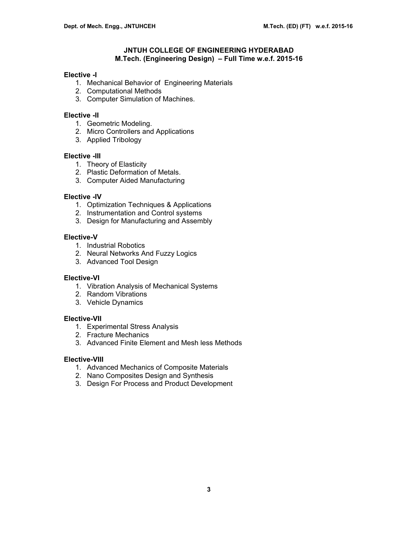## **JNTUH COLLEGE OF ENGINEERING HYDERABAD M.Tech. (Engineering Design) – Full Time w.e.f. 2015-16**

## **Elective -I**

- 1. Mechanical Behavior of Engineering Materials
- 2. Computational Methods
- 3. Computer Simulation of Machines.

## **Elective -II**

- 1. Geometric Modeling.
- 2. Micro Controllers and Applications
- 3. Applied Tribology

#### **Elective -III**

- 1. Theory of Elasticity
- 2. Plastic Deformation of Metals.
- 3. Computer Aided Manufacturing

## **Elective -IV**

- 1. Optimization Techniques & Applications
- 2. Instrumentation and Control systems
- 3. Design for Manufacturing and Assembly

## **Elective-V**

- 1. Industrial Robotics
- 2. Neural Networks And Fuzzy Logics
- 3. Advanced Tool Design

#### **Elective-VI**

- 1. Vibration Analysis of Mechanical Systems
- 2. Random Vibrations
- 3. Vehicle Dynamics

#### **Elective-VII**

- 1. Experimental Stress Analysis
- 2. Fracture Mechanics
- 3. Advanced Finite Element and Mesh less Methods

#### **Elective-VIII**

- 1. Advanced Mechanics of Composite Materials
- 2. Nano Composites Design and Synthesis
- 3. Design For Process and Product Development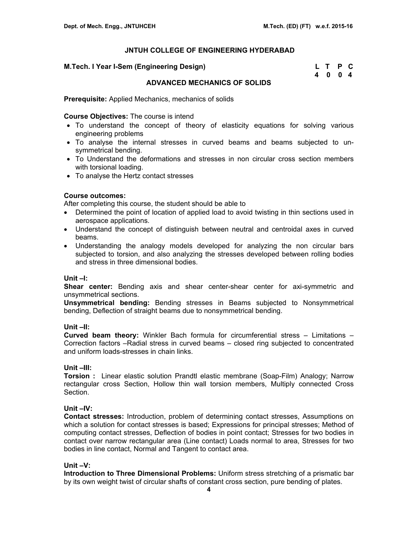#### **M.Tech. I Year I-Sem (Engineering Design)**

| M.Tech. I Year I-Sem (Engineering Design) | L T P C |  |
|-------------------------------------------|---------|--|
|                                           | 4004    |  |

## **ADVANCED MECHANICS OF SOLIDS**

**Prerequisite:** Applied Mechanics, mechanics of solids

## **Course Objectives:** The course is intend

- To understand the concept of theory of elasticity equations for solving various engineering problems
- To analyse the internal stresses in curved beams and beams subjected to unsymmetrical bending.
- To Understand the deformations and stresses in non circular cross section members with torsional loading.
- To analyse the Hertz contact stresses

## **Course outcomes:**

After completing this course, the student should be able to

- Determined the point of location of applied load to avoid twisting in thin sections used in aerospace applications.
- Understand the concept of distinguish between neutral and centroidal axes in curved beams.
- Understanding the analogy models developed for analyzing the non circular bars subjected to torsion, and also analyzing the stresses developed between rolling bodies and stress in three dimensional bodies.

## **Unit –I:**

**Shear center:** Bending axis and shear center-shear center for axi-symmetric and unsymmetrical sections.

**Unsymmetrical bending:** Bending stresses in Beams subjected to Nonsymmetrical bending, Deflection of straight beams due to nonsymmetrical bending.

## **Unit –II:**

**Curved beam theory:** Winkler Bach formula for circumferential stress – Limitations – Correction factors –Radial stress in curved beams – closed ring subjected to concentrated and uniform loads-stresses in chain links.

## **Unit –III:**

**Torsion :** Linear elastic solution Prandtl elastic membrane (Soap-Film) Analogy; Narrow rectangular cross Section, Hollow thin wall torsion members, Multiply connected Cross Section.

## **Unit –IV:**

**Contact stresses:** Introduction, problem of determining contact stresses, Assumptions on which a solution for contact stresses is based; Expressions for principal stresses; Method of computing contact stresses, Deflection of bodies in point contact; Stresses for two bodies in contact over narrow rectangular area (Line contact) Loads normal to area, Stresses for two bodies in line contact, Normal and Tangent to contact area.

## **Unit –V:**

**Introduction to Three Dimensional Problems:** Uniform stress stretching of a prismatic bar by its own weight twist of circular shafts of constant cross section, pure bending of plates.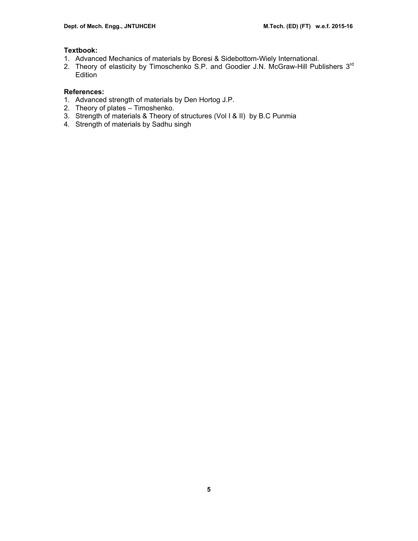# **Textbook:**

- 1. Advanced Mechanics of materials by Boresi & Sidebottom-Wiely International.
- 2. Theory of elasticity by Timoschenko S.P. and Goodier J.N. McGraw-Hill Publishers 3rd Edition

- 1. Advanced strength of materials by Den Hortog J.P.
- 2. Theory of plates Timoshenko.
- 3. Strength of materials & Theory of structures (Vol I & II) by B.C Punmia
- 4. Strength of materials by Sadhu singh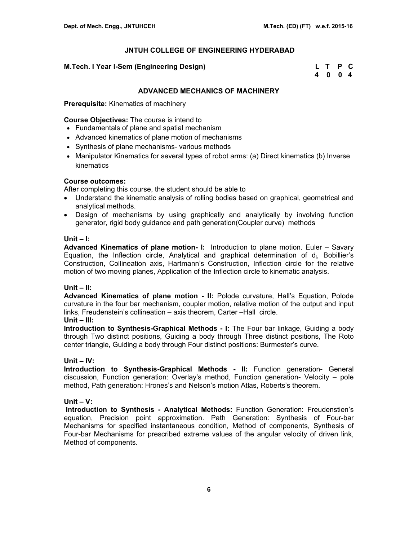## **M.Tech. I Year I-Sem (Engineering Design)**

| M.Tech. I Year I-Sem (Engineering Design) | L T P C |  |
|-------------------------------------------|---------|--|
|                                           | 4004    |  |

## **ADVANCED MECHANICS OF MACHINERY**

**Prerequisite:** Kinematics of machinery

#### **Course Objectives:** The course is intend to

- Fundamentals of plane and spatial mechanism
- Advanced kinematics of plane motion of mechanisms
- Synthesis of plane mechanisms- various methods
- Manipulator Kinematics for several types of robot arms: (a) Direct kinematics (b) Inverse kinematics

## **Course outcomes:**

After completing this course, the student should be able to

- Understand the kinematic analysis of rolling bodies based on graphical, geometrical and analytical methods.
- Design of mechanisms by using graphically and analytically by involving function generator, rigid body guidance and path generation(Coupler curve) methods

#### **Unit – I:**

**Advanced Kinematics of plane motion- I:** Introduction to plane motion. Euler – Savary Equation, the Inflection circle, Analytical and graphical determination of  $d_i$ , Bobillier's Construction, Collineation axis, Hartmann's Construction, Inflection circle for the relative motion of two moving planes, Application of the Inflection circle to kinematic analysis.

## **Unit – II:**

**Advanced Kinematics of plane motion - II:** Polode curvature, Hall's Equation, Polode curvature in the four bar mechanism, coupler motion, relative motion of the output and input links, Freudenstein's collineation – axis theorem, Carter –Hall circle.

## **Unit – III:**

**Introduction to Synthesis-Graphical Methods - I:** The Four bar linkage, Guiding a body through Two distinct positions, Guiding a body through Three distinct positions, The Roto center triangle, Guiding a body through Four distinct positions: Burmester's curve.

#### **Unit – IV:**

**Introduction to Synthesis-Graphical Methods - II:** Function generation- General discussion, Function generation: Overlay's method, Function generation- Velocity – pole method, Path generation: Hrones's and Nelson's motion Atlas, Roberts's theorem.

## **Unit – V:**

 **Introduction to Synthesis - Analytical Methods:** Function Generation: Freudenstien's equation, Precision point approximation. Path Generation: Synthesis of Four-bar Mechanisms for specified instantaneous condition, Method of components, Synthesis of Four-bar Mechanisms for prescribed extreme values of the angular velocity of driven link, Method of components.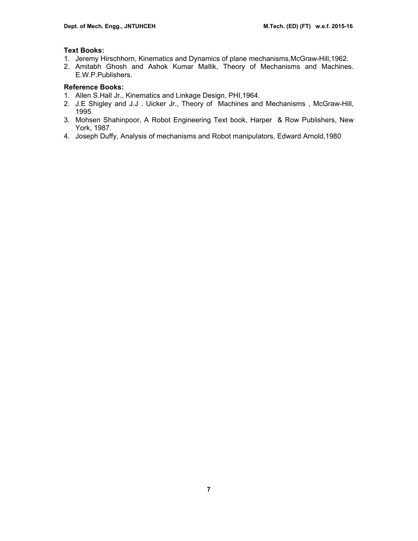## **Text Books:**

- 1. Jeremy Hirschhorn, Kinematics and Dynamics of plane mechanisms,McGraw-Hill,1962.
- 2. Amitabh Ghosh and Ashok Kumar Mallik, Theory of Mechanisms and Machines. E.W.P.Publishers.

# **Reference Books:**

- 1. Allen S.Hall Jr., Kinematics and Linkage Design, PHI,1964.
- 2. J.E Shigley and J.J . Uicker Jr., Theory of Machines and Mechanisms , McGraw-Hill, 1995.
- 3. Mohsen Shahinpoor, A Robot Engineering Text book, Harper & Row Publishers, New York, 1987.
- 4. Joseph Duffy, Analysis of mechanisms and Robot manipulators, Edward Arnold,1980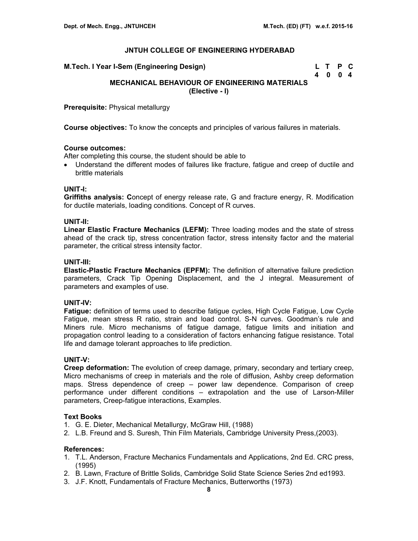| M.Tech. I Year I-Sem (Engineering Design) | L T P C |  |
|-------------------------------------------|---------|--|
|                                           | 4004    |  |

# **MECHANICAL BEHAVIOUR OF ENGINEERING MATERIALS (Elective - I)**

**Prerequisite:** Physical metallurgy

**Course objectives:** To know the concepts and principles of various failures in materials.

## **Course outcomes:**

After completing this course, the student should be able to

• Understand the different modes of failures like fracture, fatigue and creep of ductile and brittle materials

## **UNIT-I:**

**Griffiths analysis: C**oncept of energy release rate, G and fracture energy, R. Modification for ductile materials, loading conditions. Concept of R curves.

## **UNIT-II:**

**Linear Elastic Fracture Mechanics (LEFM):** Three loading modes and the state of stress ahead of the crack tip, stress concentration factor, stress intensity factor and the material parameter, the critical stress intensity factor.

## **UNIT-III:**

**Elastic-Plastic Fracture Mechanics (EPFM):** The definition of alternative failure prediction parameters, Crack Tip Opening Displacement, and the J integral. Measurement of parameters and examples of use.

## **UNIT-IV:**

**Fatigue:** definition of terms used to describe fatigue cycles, High Cycle Fatigue, Low Cycle Fatigue, mean stress R ratio, strain and load control. S-N curves. Goodman's rule and Miners rule. Micro mechanisms of fatigue damage, fatigue limits and initiation and propagation control leading to a consideration of factors enhancing fatigue resistance. Total life and damage tolerant approaches to life prediction.

#### **UNIT-V:**

**Creep deformation:** The evolution of creep damage, primary, secondary and tertiary creep, Micro mechanisms of creep in materials and the role of diffusion, Ashby creep deformation maps. Stress dependence of creep – power law dependence. Comparison of creep performance under different conditions – extrapolation and the use of Larson-Miller parameters, Creep-fatigue interactions, Examples.

## **Text Books**

- 1. G. E. Dieter, Mechanical Metallurgy, McGraw Hill, (1988)
- 2. L.B. Freund and S. Suresh, Thin Film Materials, Cambridge University Press,(2003).

- 1. T.L. Anderson, Fracture Mechanics Fundamentals and Applications, 2nd Ed. CRC press, (1995)
- 2. B. Lawn, Fracture of Brittle Solids, Cambridge Solid State Science Series 2nd ed1993.
- 3. J.F. Knott, Fundamentals of Fracture Mechanics, Butterworths (1973)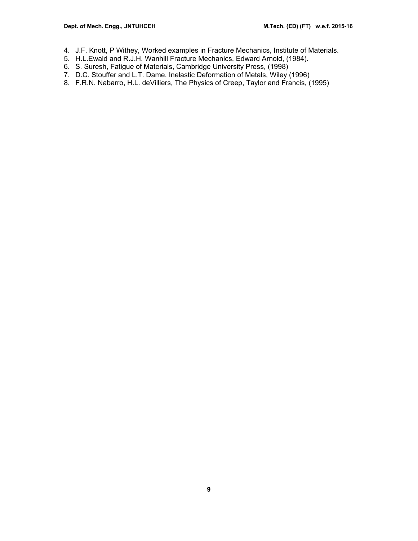- 4. J.F. Knott, P Withey, Worked examples in Fracture Mechanics, Institute of Materials.
- 5. H.L.Ewald and R.J.H. Wanhill Fracture Mechanics, Edward Arnold, (1984).
- 6. S. Suresh, Fatigue of Materials, Cambridge University Press, (1998)
- 7. D.C. Stouffer and L.T. Dame, Inelastic Deformation of Metals, Wiley (1996)
- 8. F.R.N. Nabarro, H.L. deVilliers, The Physics of Creep, Taylor and Francis, (1995)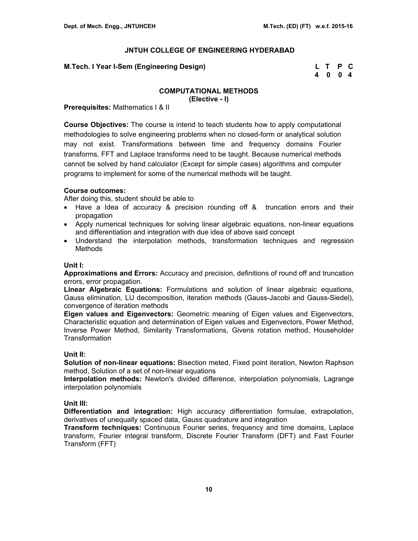| M.Tech. I Year I-Sem (Engineering Design) | L T P C |  |
|-------------------------------------------|---------|--|
|                                           | 4004    |  |

# **COMPUTATIONAL METHODS**

**(Elective - I)**

**Prerequisites:** Mathematics I & II

**Course Objectives:** The course is intend to teach students how to apply computational methodologies to solve engineering problems when no closed-form or analytical solution may not exist. Transformations between time and frequency domains Fourier transforms, FFT and Laplace transforms need to be taught. Because numerical methods cannot be solved by hand calculator (Except for simple cases) algorithms and computer programs to implement for some of the numerical methods will be taught.

## **Course outcomes:**

After doing this, student should be able to

- Have a Idea of accuracy & precision rounding off & truncation errors and their propagation
- Apply numerical techniques for solving linear algebraic equations, non-linear equations and differentiation and integration with due idea of above said concept
- Understand the interpolation methods, transformation techniques and regression Methods

#### **Unit I:**

**Approximations and Errors:** Accuracy and precision, definitions of round off and truncation errors, error propagation.

**Linear Algebraic Equations:** Formulations and solution of linear algebraic equations, Gauss elimination, LU decomposition, iteration methods (Gauss-Jacobi and Gauss-Siedel), convergence of iteration methods

**Eigen values and Eigenvectors:** Geometric meaning of Eigen values and Eigenvectors, Characteristic equation and determination of Eigen values and Eigenvectors, Power Method, Inverse Power Method, Similarity Transformations, Givens rotation method, Householder **Transformation** 

#### **Unit II:**

**Solution of non-linear equations:** Bisection meted, Fixed point iteration, Newton Raphson method, Solution of a set of non-linear equations

**Interpolation methods:** Newton's divided difference, interpolation polynomials, Lagrange interpolation polynomials

#### **Unit III:**

**Differentiation and integration:** High accuracy differentiation formulae, extrapolation, derivatives of unequally spaced data, Gauss quadrature and integration

**Transform techniques:** Continuous Fourier series, frequency and time domains, Laplace transform, Fourier integral transform, Discrete Fourier Transform (DFT) and Fast Fourier Transform (FFT)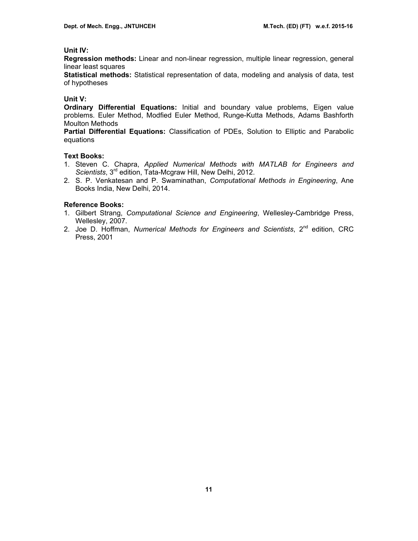## **Unit IV:**

**Regression methods:** Linear and non-linear regression, multiple linear regression, general linear least squares

**Statistical methods:** Statistical representation of data, modeling and analysis of data, test of hypotheses

#### **Unit V:**

**Ordinary Differential Equations:** Initial and boundary value problems, Eigen value problems. Euler Method, Modfied Euler Method, Runge-Kutta Methods, Adams Bashforth Moulton Methods

**Partial Differential Equations:** Classification of PDEs, Solution to Elliptic and Parabolic equations

#### **Text Books:**

- 1. Steven C. Chapra, *Applied Numerical Methods with MATLAB for Engineers and Scientists*, 3rd edition, Tata-Mcgraw Hill, New Delhi, 2012.
- 2. S. P. Venkatesan and P. Swaminathan, *Computational Methods in Engineering*, Ane Books India, New Delhi, 2014.

#### **Reference Books:**

- 1. Gilbert Strang, *Computational Science and Engineering*, Wellesley-Cambridge Press, Wellesley, 2007.
- 2. Joe D. Hoffman, *Numerical Methods for Engineers and Scientists*, 2nd edition, CRC Press, 2001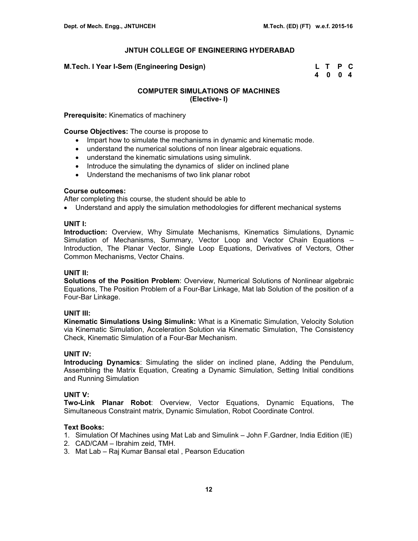## **M.Tech. I Year I-Sem (Engineering Design) L T P C**

 **4 0 0 4** 

## **COMPUTER SIMULATIONS OF MACHINES (Elective- I)**

**Prerequisite:** Kinematics of machinery

**Course Objectives:** The course is propose to

- Impart how to simulate the mechanisms in dynamic and kinematic mode.
- understand the numerical solutions of non linear algebraic equations.
- understand the kinematic simulations using simulink.
- Introduce the simulating the dynamics of slider on inclined plane
- Understand the mechanisms of two link planar robot

#### **Course outcomes:**

After completing this course, the student should be able to

• Understand and apply the simulation methodologies for different mechanical systems

#### **UNIT I:**

**Introduction:** Overview, Why Simulate Mechanisms, Kinematics Simulations, Dynamic Simulation of Mechanisms, Summary, Vector Loop and Vector Chain Equations – Introduction, The Planar Vector, Single Loop Equations, Derivatives of Vectors, Other Common Mechanisms, Vector Chains.

#### **UNIT II:**

**Solutions of the Position Problem**: Overview, Numerical Solutions of Nonlinear algebraic Equations, The Position Problem of a Four-Bar Linkage, Mat lab Solution of the position of a Four-Bar Linkage.

## **UNIT III:**

**Kinematic Simulations Using Simulink:** What is a Kinematic Simulation, Velocity Solution via Kinematic Simulation, Acceleration Solution via Kinematic Simulation, The Consistency Check, Kinematic Simulation of a Four-Bar Mechanism.

## **UNIT IV:**

**Introducing Dynamics**: Simulating the slider on inclined plane, Adding the Pendulum, Assembling the Matrix Equation, Creating a Dynamic Simulation, Setting Initial conditions and Running Simulation

## **UNIT V:**

**Two-Link Planar Robot**: Overview, Vector Equations, Dynamic Equations, The Simultaneous Constraint matrix, Dynamic Simulation, Robot Coordinate Control.

#### **Text Books:**

- 1. Simulation Of Machines using Mat Lab and Simulink John F.Gardner, India Edition (IE)
- 2. CAD/CAM Ibrahim zeid, TMH.
- 3. Mat Lab Raj Kumar Bansal etal , Pearson Education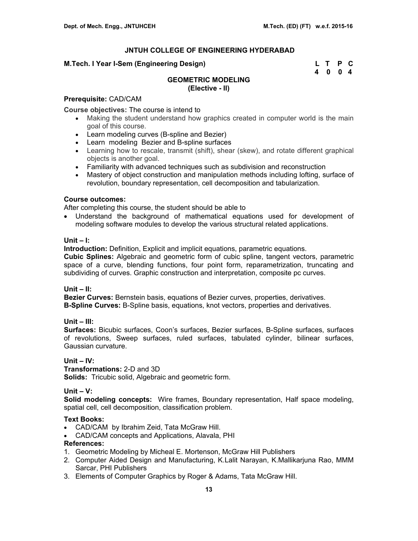## **M.Tech. I Year I-Sem (Engineering Design) L T P C**

 **4 0 0 4** 

## **GEOMETRIC MODELING (Elective - II)**

## **Prerequisite:** CAD/CAM

**Course objectives:** The course is intend to

- Making the student understand how graphics created in computer world is the main goal of this course.
- Learn modeling curves (B-spline and Bezier)
- Learn modeling Bezier and B-spline surfaces
- Learning how to rescale, transmit (shift), shear (skew), and rotate different graphical objects is another goal.
- Familiarity with advanced techniques such as subdivision and reconstruction
- Mastery of object construction and manipulation methods including lofting, surface of revolution, boundary representation, cell decomposition and tabularization.

## **Course outcomes:**

After completing this course, the student should be able to

• Understand the background of mathematical equations used for development of modeling software modules to develop the various structural related applications.

## **Unit – I:**

**Introduction:** Definition, Explicit and implicit equations, parametric equations.

**Cubic Splines:** Algebraic and geometric form of cubic spline, tangent vectors, parametric space of a curve, blending functions, four point form, reparametrization, truncating and subdividing of curves. Graphic construction and interpretation, composite pc curves.

## **Unit – II:**

**Bezier Curves:** Bernstein basis, equations of Bezier curves, properties, derivatives. **B-Spline Curves:** B-Spline basis, equations, knot vectors, properties and derivatives.

## **Unit – III:**

**Surfaces:** Bicubic surfaces, Coon's surfaces, Bezier surfaces, B-Spline surfaces, surfaces of revolutions, Sweep surfaces, ruled surfaces, tabulated cylinder, bilinear surfaces, Gaussian curvature.

## **Unit – IV:**

**Transformations:** 2-D and 3D **Solids:** Tricubic solid, Algebraic and geometric form.

## **Unit – V:**

**Solid modeling concepts:** Wire frames, Boundary representation, Half space modeling, spatial cell, cell decomposition, classification problem.

## **Text Books:**

- CAD/CAM by Ibrahim Zeid, Tata McGraw Hill.
- CAD/CAM concepts and Applications, Alavala, PHI

- 1. Geometric Modeling by Micheal E. Mortenson, McGraw Hill Publishers
- 2. Computer Aided Design and Manufacturing, K.Lalit Narayan, K.Mallikarjuna Rao, MMM Sarcar, PHI Publishers
- 3. Elements of Computer Graphics by Roger & Adams, Tata McGraw Hill.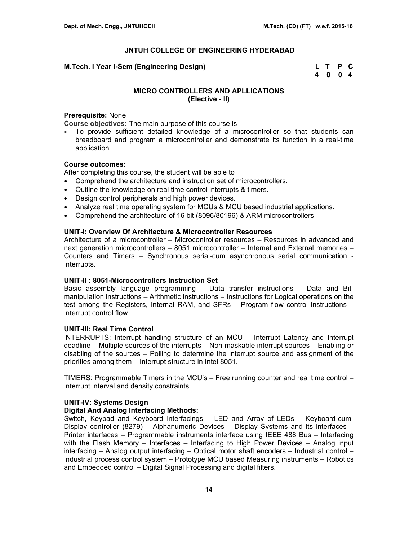#### **M.Tech. I Year I-Sem (Engineering Design)**

| M.Tech. I Year I-Sem (Engineering Design) | L T P C |  |
|-------------------------------------------|---------|--|
|                                           | 4004    |  |

## **MICRO CONTROLLERS AND APLLICATIONS (Elective - II)**

#### **Prerequisite:** None

**Course objectives:** The main purpose of this course is

• To provide sufficient detailed knowledge of a microcontroller so that students can breadboard and program a microcontroller and demonstrate its function in a real-time application.

## **Course outcomes:**

After completing this course, the student will be able to

- Comprehend the architecture and instruction set of microcontrollers.
- Outline the knowledge on real time control interrupts & timers.
- Design control peripherals and high power devices.
- Analyze real time operating system for MCUs & MCU based industrial applications.
- Comprehend the architecture of 16 bit (8096/80196) & ARM microcontrollers.

## **UNIT-I: Overview Of Architecture & Microcontroller Resources**

Architecture of a microcontroller – Microcontroller resources – Resources in advanced and next generation microcontrollers – 8051 microcontroller – Internal and External memories – Counters and Timers – Synchronous serial-cum asynchronous serial communication - Interrupts.

#### **UNIT-II : 8051-Microcontrollers Instruction Set**

Basic assembly language programming – Data transfer instructions – Data and Bitmanipulation instructions – Arithmetic instructions – Instructions for Logical operations on the test among the Registers, Internal RAM, and SFRs – Program flow control instructions – Interrupt control flow.

#### **UNIT-III: Real Time Control**

INTERRUPTS: Interrupt handling structure of an MCU – Interrupt Latency and Interrupt deadline – Multiple sources of the interrupts – Non-maskable interrupt sources – Enabling or disabling of the sources – Polling to determine the interrupt source and assignment of the priorities among them – Interrupt structure in Intel 8051.

TIMERS: Programmable Timers in the MCU's – Free running counter and real time control – Interrupt interval and density constraints.

#### **UNIT-IV: Systems Design**

#### **Digital And Analog Interfacing Methods:**

Switch, Keypad and Keyboard interfacings – LED and Array of LEDs – Keyboard-cum-Display controller (8279) – Alphanumeric Devices – Display Systems and its interfaces – Printer interfaces – Programmable instruments interface using IEEE 488 Bus – Interfacing with the Flash Memory – Interfaces – Interfacing to High Power Devices – Analog input interfacing – Analog output interfacing – Optical motor shaft encoders – Industrial control – Industrial process control system – Prototype MCU based Measuring instruments – Robotics and Embedded control – Digital Signal Processing and digital filters.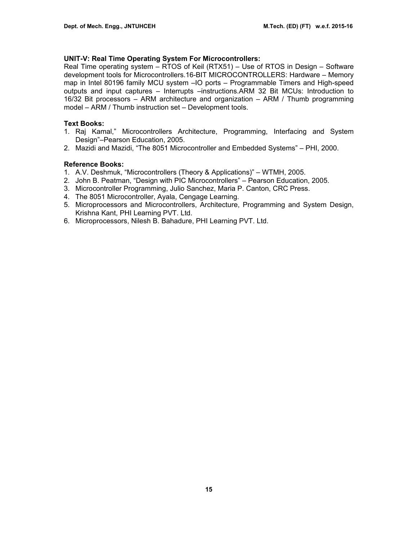## **UNIT-V: Real Time Operating System For Microcontrollers:**

Real Time operating system – RTOS of Keil (RTX51) – Use of RTOS in Design – Software development tools for Microcontrollers.16-BIT MICROCONTROLLERS: Hardware – Memory map in Intel 80196 family MCU system –IO ports – Programmable Timers and High-speed outputs and input captures – Interrupts –instructions.ARM 32 Bit MCUs: Introduction to 16/32 Bit processors – ARM architecture and organization – ARM / Thumb programming model – ARM / Thumb instruction set – Development tools.

## **Text Books:**

- 1. Raj Kamal," Microcontrollers Architecture, Programming, Interfacing and System Design"–Pearson Education, 2005.
- 2. Mazidi and Mazidi, "The 8051 Microcontroller and Embedded Systems" PHI, 2000.

## **Reference Books:**

- 1. A.V. Deshmuk, "Microcontrollers (Theory & Applications)" WTMH, 2005.
- 2. John B. Peatman, "Design with PIC Microcontrollers" Pearson Education, 2005.
- 3. Microcontroller Programming, Julio Sanchez, Maria P. Canton, CRC Press.
- 4. The 8051 Microcontroller, Ayala, Cengage Learning.
- 5. Microprocessors and Microcontrollers, Architecture, Programming and System Design, Krishna Kant, PHI Learning PVT. Ltd.
- 6. Microprocessors, Nilesh B. Bahadure, PHI Learning PVT. Ltd.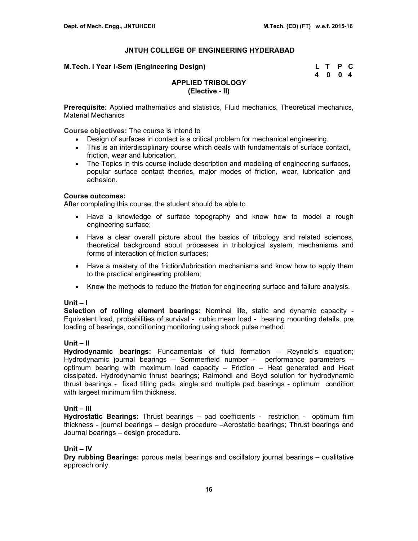#### **M.Tech. I Year I-Sem (Engineering Design)**

| M.Tech. I Year I-Sem (Engineering Design) | L T P C |  |
|-------------------------------------------|---------|--|
|                                           | 4004    |  |

# **APPLIED TRIBOLOGY (Elective - II)**

**Prerequisite:** Applied mathematics and statistics, Fluid mechanics, Theoretical mechanics, Material Mechanics

**Course objectives:** The course is intend to

- Design of surfaces in contact is a critical problem for mechanical engineering.
- This is an interdisciplinary course which deals with fundamentals of surface contact, friction, wear and lubrication.
- The Topics in this course include description and modeling of engineering surfaces, popular surface contact theories, major modes of friction, wear, lubrication and adhesion.

## **Course outcomes:**

After completing this course, the student should be able to

- Have a knowledge of surface topography and know how to model a rough engineering surface;
- Have a clear overall picture about the basics of tribology and related sciences, theoretical background about processes in tribological system, mechanisms and forms of interaction of friction surfaces;
- Have a mastery of the friction/lubrication mechanisms and know how to apply them to the practical engineering problem;
- Know the methods to reduce the friction for engineering surface and failure analysis.

#### **Unit – I**

**Selection of rolling element bearings:** Nominal life, static and dynamic capacity - Equivalent load, probabilities of survival - cubic mean load - bearing mounting details, pre loading of bearings, conditioning monitoring using shock pulse method.

## **Unit – II**

**Hydrodynamic bearings:** Fundamentals of fluid formation – Reynold's equation; Hydrodynamic journal bearings – Sommerfield number - performance parameters – optimum bearing with maximum load capacity – Friction – Heat generated and Heat dissipated. Hydrodynamic thrust bearings; Raimondi and Boyd solution for hydrodynamic thrust bearings - fixed tilting pads, single and multiple pad bearings - optimum condition with largest minimum film thickness.

## **Unit – III**

**Hydrostatic Bearings:** Thrust bearings – pad coefficients - restriction - optimum film thickness - journal bearings – design procedure –Aerostatic bearings; Thrust bearings and Journal bearings – design procedure.

## **Unit – IV**

**Dry rubbing Bearings:** porous metal bearings and oscillatory journal bearings – qualitative approach only.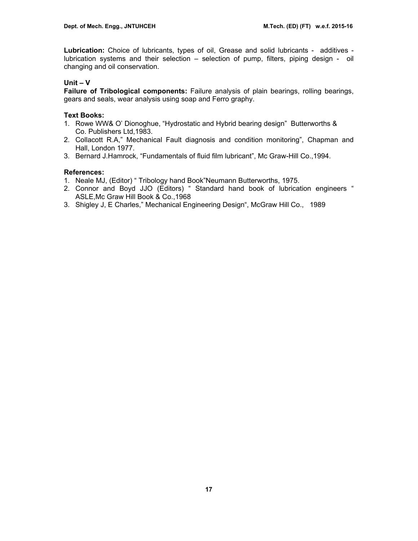**Lubrication:** Choice of lubricants, types of oil, Grease and solid lubricants - additives lubrication systems and their selection – selection of pump, filters, piping design - oil changing and oil conservation.

## **Unit – V**

**Failure of Tribological components:** Failure analysis of plain bearings, rolling bearings, gears and seals, wear analysis using soap and Ferro graphy.

## **Text Books:**

- 1. Rowe WW& O' Dionoghue, "Hydrostatic and Hybrid bearing design" Butterworths & Co. Publishers Ltd,1983.
- 2. Collacott R.A," Mechanical Fault diagnosis and condition monitoring", Chapman and Hall, London 1977.
- 3. Bernard J.Hamrock, "Fundamentals of fluid film lubricant", Mc Graw-Hill Co.,1994.

- 1. Neale MJ, (Editor) " Tribology hand Book"Neumann Butterworths, 1975.
- 2. Connor and Boyd JJO (Editors) " Standard hand book of lubrication engineers " ASLE,Mc Graw Hill Book & Co.,1968
- 3. Shigley J, E Charles," Mechanical Engineering Design", McGraw Hill Co., 1989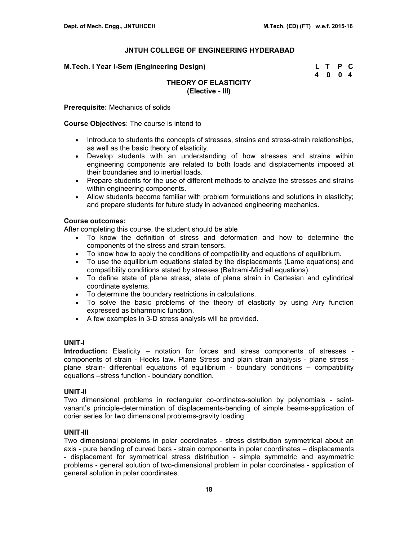| M.Tech. I Year I-Sem (Engineering Design) | L T P C |  |
|-------------------------------------------|---------|--|
|                                           | 4 0 0 4 |  |

## **THEORY OF ELASTICITY (Elective - III)**

**Prerequisite:** Mechanics of solids

#### **Course Objectives**: The course is intend to

- Introduce to students the concepts of stresses, strains and stress-strain relationships, as well as the basic theory of elasticity.
- Develop students with an understanding of how stresses and strains within engineering components are related to both loads and displacements imposed at their boundaries and to inertial loads.
- Prepare students for the use of different methods to analyze the stresses and strains within engineering components.
- Allow students become familiar with problem formulations and solutions in elasticity; and prepare students for future study in advanced engineering mechanics.

## **Course outcomes:**

After completing this course, the student should be able

- To know the definition of stress and deformation and how to determine the components of the stress and strain tensors.
- To know how to apply the conditions of compatibility and equations of equilibrium.
- To use the equilibrium equations stated by the displacements (Lame equations) and compatibility conditions stated by stresses (Beltrami-Michell equations).
- To define state of plane stress, state of plane strain in Cartesian and cylindrical coordinate systems.
- To determine the boundary restrictions in calculations.
- To solve the basic problems of the theory of elasticity by using Airy function expressed as biharmonic function.
- A few examples in 3-D stress analysis will be provided.

#### **UNIT-I**

**Introduction:** Elasticity – notation for forces and stress components of stresses components of strain - Hooks law. Plane Stress and plain strain analysis - plane stress plane strain- differential equations of equilibrium - boundary conditions – compatibility equations –stress function - boundary condition.

#### **UNIT-II**

Two dimensional problems in rectangular co-ordinates-solution by polynomials - saintvanant's principle-determination of displacements-bending of simple beams-application of corier series for two dimensional problems-gravity loading.

## **UNIT-III**

Two dimensional problems in polar coordinates - stress distribution symmetrical about an axis - pure bending of curved bars - strain components in polar coordinates – displacements - displacement for symmetrical stress distribution - simple symmetric and asymmetric problems - general solution of two-dimensional problem in polar coordinates - application of general solution in polar coordinates.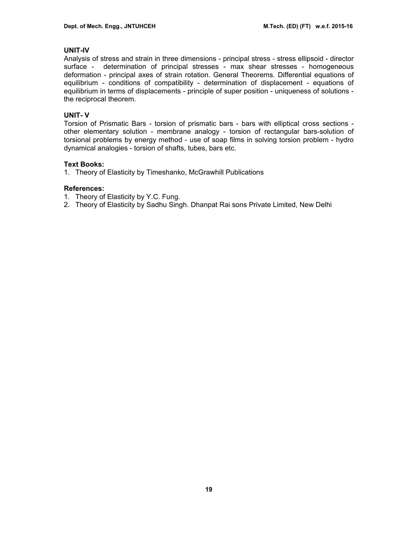## **UNIT-IV**

Analysis of stress and strain in three dimensions - principal stress - stress ellipsoid - director surface - determination of principal stresses - max shear stresses - homogeneous deformation - principal axes of strain rotation. General Theorems. Differential equations of equilibrium - conditions of compatibility - determination of displacement - equations of equilibrium in terms of displacements - principle of super position - uniqueness of solutions the reciprocal theorem.

#### **UNIT- V**

Torsion of Prismatic Bars - torsion of prismatic bars - bars with elliptical cross sections other elementary solution - membrane analogy - torsion of rectangular bars-solution of torsional problems by energy method - use of soap films in solving torsion problem - hydro dynamical analogies - torsion of shafts, tubes, bars etc.

#### **Text Books:**

1. Theory of Elasticity by Timeshanko, McGrawhill Publications

- 1. Theory of Elasticity by Y.C. Fung.
- 2. Theory of Elasticity by Sadhu Singh. Dhanpat Rai sons Private Limited, New Delhi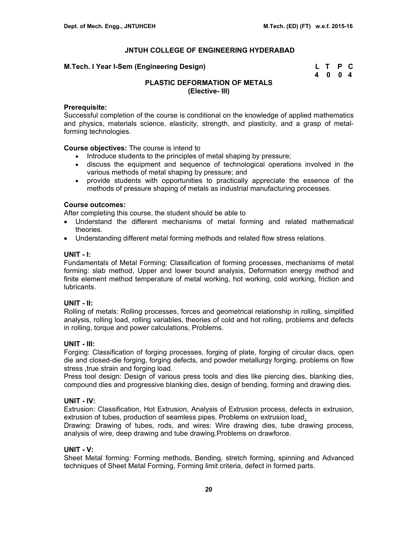#### **M.Tech. I Year I-Sem (Engineering Design)**

| M.Tech. I Year I-Sem (Engineering Design) | L T P C |  |
|-------------------------------------------|---------|--|
|                                           | 4004    |  |

# **PLASTIC DEFORMATION OF METALS (Elective- III)**

## **Prerequisite:**

Successful completion of the course is conditional on the knowledge of applied mathematics and physics, materials science, elasticity, strength, and plasticity, and a grasp of metalforming technologies.

#### **Course objectives:** The course is intend to

- Introduce students to the principles of metal shaping by pressure;
- discuss the equipment and sequence of technological operations involved in the various methods of metal shaping by pressure; and
- provide students with opportunities to practically appreciate the essence of the methods of pressure shaping of metals as industrial manufacturing processes.

## **Course outcomes:**

After completing this course, the student should be able to

- Understand the different mechanisms of metal forming and related mathematical theories.
- Understanding different metal forming methods and related flow stress relations.

## **UNIT - I:**

Fundamentals of Metal Forming: Classification of forming processes, mechanisms of metal forming: slab method, Upper and lower bound analysis, Deformation energy method and finite element method temperature of metal working, hot working, cold working, friction and lubricants.

## **UNIT - II:**

Rolling of metals: Rolling processes, forces and geometrical relationship in rolling, simplified analysis, rolling load, rolling variables, theories of cold and hot rolling, problems and defects in rolling, torque and power calculations, Problems.

#### **UNIT - III:**

Forging: Classification of forging processes, forging of plate, forging of circular discs, open die and closed-die forging, forging defects, and powder metallurgy forging. problems on flow stress , true strain and forging load.

Press tool design: Design of various press tools and dies like piercing dies, blanking dies, compound dies and progressive blanking dies, design of bending, forming and drawing dies.

#### **UNIT - IV:**

Extrusion: Classification, Hot Extrusion, Analysis of Extrusion process, defects in extrusion, extrusion of tubes, production of seamless pipes. Problems on extrusion load.

Drawing: Drawing of tubes, rods, and wires: Wire drawing dies, tube drawing process, analysis of wire, deep drawing and tube drawing.Problems on drawforce.

#### **UNIT - V:**

Sheet Metal forming: Forming methods, Bending, stretch forming, spinning and Advanced techniques of Sheet Metal Forming, Forming limit criteria, defect in formed parts.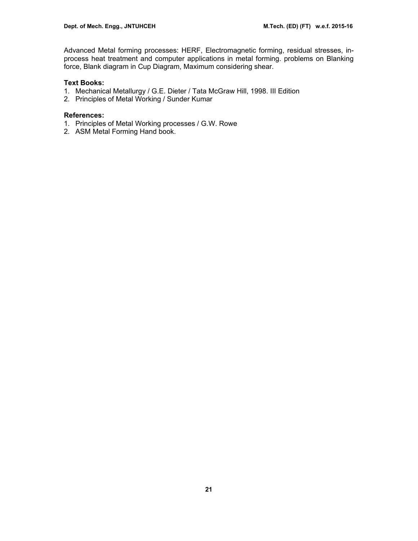Advanced Metal forming processes: HERF, Electromagnetic forming, residual stresses, inprocess heat treatment and computer applications in metal forming. problems on Blanking force, Blank diagram in Cup Diagram, Maximum considering shear.

## **Text Books:**

- 1. Mechanical Metallurgy / G.E. Dieter / Tata McGraw Hill, 1998. III Edition
- 2. Principles of Metal Working / Sunder Kumar

- 1. Principles of Metal Working processes / G.W. Rowe
- 2. ASM Metal Forming Hand book.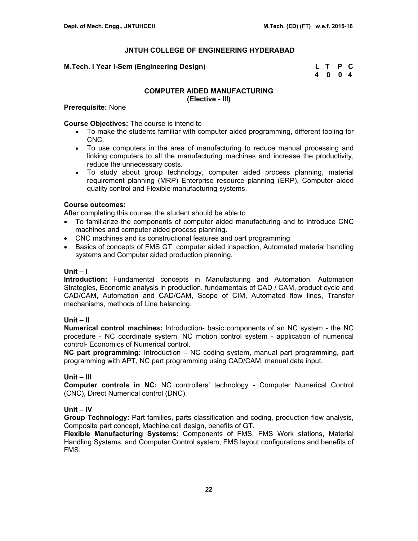## **M.Tech. I Year I-Sem (Engineering Design)**

| M.Tech. I Year I-Sem (Engineering Design) | L T P C |  |
|-------------------------------------------|---------|--|
|                                           | 4004    |  |

## **COMPUTER AIDED MANUFACTURING (Elective - III)**

#### **Prerequisite:** None

#### **Course Objectives:** The course is intend to

- To make the students familiar with computer aided programming, different tooling for CNC.
- To use computers in the area of manufacturing to reduce manual processing and linking computers to all the manufacturing machines and increase the productivity, reduce the unnecessary costs.
- To study about group technology, computer aided process planning, material requirement planning (MRP) Enterprise resource planning (ERP), Computer aided quality control and Flexible manufacturing systems.

## **Course outcomes:**

After completing this course, the student should be able to

- To familiarize the components of computer aided manufacturing and to introduce CNC machines and computer aided process planning.
- CNC machines and its constructional features and part programming
- Basics of concepts of FMS GT, computer aided inspection, Automated material handling systems and Computer aided production planning.

## **Unit – I**

**Introduction:** Fundamental concepts in Manufacturing and Automation, Automation Strategies, Economic analysis in production, fundamentals of CAD / CAM, product cycle and CAD/CAM, Automation and CAD/CAM, Scope of CIM, Automated flow lines, Transfer mechanisms, methods of Line balancing.

## **Unit – II**

**Numerical control machines:** Introduction- basic components of an NC system - the NC procedure - NC coordinate system, NC motion control system - application of numerical control- Economics of Numerical control.

**NC part programming:** Introduction – NC coding system, manual part programming, part programming with APT, NC part programming using CAD/CAM, manual data input.

## **Unit – III**

**Computer controls in NC:** NC controllers' technology - Computer Numerical Control (CNC), Direct Numerical control (DNC).

## **Unit – IV**

**Group Technology:** Part families, parts classification and coding, production flow analysis, Composite part concept, Machine cell design, benefits of GT.

**Flexible Manufacturing Systems:** Components of FMS, FMS Work stations, Material Handling Systems, and Computer Control system, FMS layout configurations and benefits of FMS.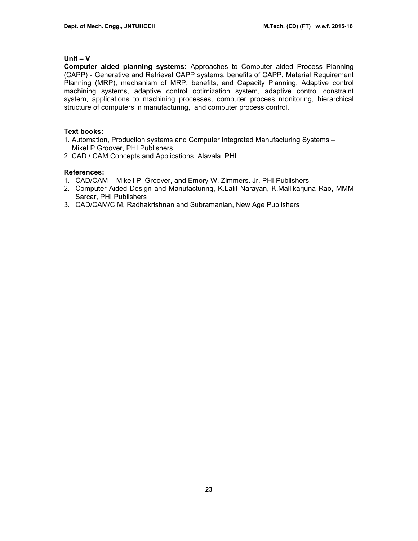#### **Unit – V**

**Computer aided planning systems:** Approaches to Computer aided Process Planning (CAPP) - Generative and Retrieval CAPP systems, benefits of CAPP, Material Requirement Planning (MRP), mechanism of MRP, benefits, and Capacity Planning, Adaptive control machining systems, adaptive control optimization system, adaptive control constraint system, applications to machining processes, computer process monitoring, hierarchical structure of computers in manufacturing, and computer process control.

#### **Text books:**

- 1. Automation, Production systems and Computer Integrated Manufacturing Systems Mikel P.Groover, PHI Publishers
- 2. CAD / CAM Concepts and Applications, Alavala, PHI.

- 1. CAD/CAM Mikell P. Groover, and Emory W. Zimmers. Jr. PHI Publishers
- 2. Computer Aided Design and Manufacturing, K.Lalit Narayan, K.Mallikarjuna Rao, MMM Sarcar, PHI Publishers
- 3. CAD/CAM/CIM, Radhakrishnan and Subramanian, New Age Publishers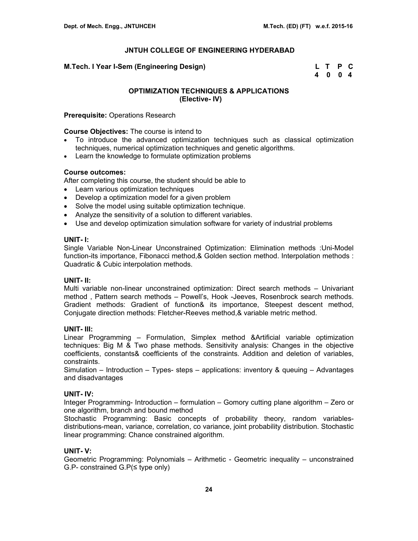| M.Tech. I Year I-Sem (Engineering Design) | L T P C |  |
|-------------------------------------------|---------|--|
|                                           | 4004    |  |

## **OPTIMIZATION TECHNIQUES & APPLICATIONS (Elective- IV)**

#### **Prerequisite:** Operations Research

**Course Objectives:** The course is intend to

- To introduce the advanced optimization techniques such as classical optimization techniques, numerical optimization techniques and genetic algorithms.
- Learn the knowledge to formulate optimization problems

#### **Course outcomes:**

After completing this course, the student should be able to

- Learn various optimization techniques
- Develop a optimization model for a given problem
- Solve the model using suitable optimization technique.
- Analyze the sensitivity of a solution to different variables.
- Use and develop optimization simulation software for variety of industrial problems

#### **UNIT- I:**

Single Variable Non-Linear Unconstrained Optimization: Elimination methods :Uni-Model function-its importance, Fibonacci method,& Golden section method. Interpolation methods : Quadratic & Cubic interpolation methods.

#### **UNIT- II:**

Multi variable non-linear unconstrained optimization: Direct search methods – Univariant method , Pattern search methods – Powell's, Hook -Jeeves, Rosenbrock search methods. Gradient methods: Gradient of function& its importance, Steepest descent method, Conjugate direction methods: Fletcher-Reeves method,& variable metric method.

#### **UNIT- III:**

Linear Programming – Formulation, Simplex method &Artificial variable optimization techniques: Big M & Two phase methods. Sensitivity analysis: Changes in the objective coefficients, constants& coefficients of the constraints. Addition and deletion of variables, constraints.

Simulation – Introduction – Types- steps – applications: inventory & queuing – Advantages and disadvantages

## **UNIT- IV:**

Integer Programming- Introduction – formulation – Gomory cutting plane algorithm – Zero or one algorithm, branch and bound method

Stochastic Programming: Basic concepts of probability theory, random variablesdistributions-mean, variance, correlation, co variance, joint probability distribution. Stochastic linear programming: Chance constrained algorithm.

## **UNIT- V:**

Geometric Programming: Polynomials – Arithmetic - Geometric inequality – unconstrained G.P- constrained G.P(≤ type only)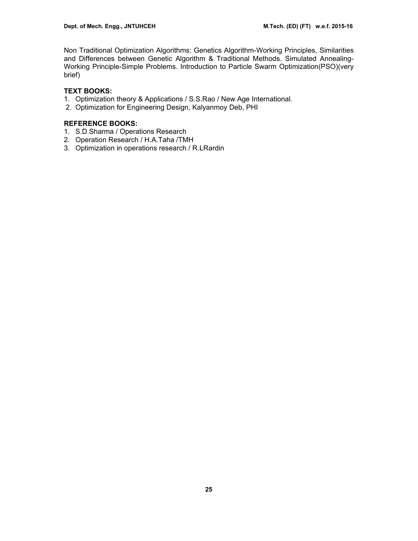Non Traditional Optimization Algorithms: Genetics Algorithm-Working Principles, Similarities and Differences between Genetic Algorithm & Traditional Methods. Simulated Annealing-Working Principle-Simple Problems. Introduction to Particle Swarm Optimization(PSO)(very brief)

## **TEXT BOOKS:**

- 1. Optimization theory & Applications / S.S.Rao / New Age International.
- 2. Optimization for Engineering Design, Kalyanmoy Deb, PHI

## **REFERENCE BOOKS:**

- 1. S.D.Sharma / Operations Research
- 2. Operation Research / H.A.Taha /TMH
- 3. Optimization in operations research / R.LRardin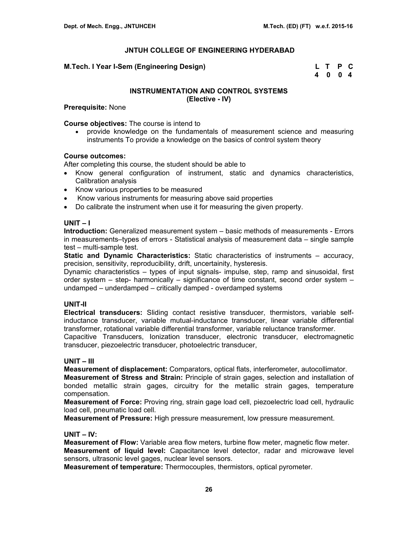## **M.Tech. I Year I-Sem (Engineering Design)**

| M.Tech. I Year I-Sem (Engineering Design) | L T P C |  |  |
|-------------------------------------------|---------|--|--|
|                                           | 4004    |  |  |

## **INSTRUMENTATION AND CONTROL SYSTEMS (Elective - IV)**

**Prerequisite:** None

**Course objectives:** The course is intend to

• provide knowledge on the fundamentals of measurement science and measuring instruments To provide a knowledge on the basics of control system theory

## **Course outcomes:**

After completing this course, the student should be able to

- Know general configuration of instrument, static and dynamics characteristics, Calibration analysis
- Know various properties to be measured
- Know various instruments for measuring above said properties
- Do calibrate the instrument when use it for measuring the given property.

## **UNIT – I**

**Introduction:** Generalized measurement system – basic methods of measurements - Errors in measurements–types of errors - Statistical analysis of measurement data – single sample test – multi-sample test.

**Static and Dynamic Characteristics:** Static characteristics of instruments – accuracy, precision, sensitivity, reproducibility, drift, uncertainity, hysteresis.

Dynamic characteristics – types of input signals- impulse, step, ramp and sinusoidal, first order system – step- harmonically – significance of time constant, second order system – undamped – underdamped – critically damped - overdamped systems

## **UNIT-II**

**Electrical transducers:** Sliding contact resistive transducer, thermistors, variable selfinductance transducer, variable mutual-inductance transducer, linear variable differential transformer, rotational variable differential transformer, variable reluctance transformer.

Capacitive Transducers, Ionization transducer, electronic transducer, electromagnetic transducer, piezoelectric transducer, photoelectric transducer,

## **UNIT – III**

**Measurement of displacement:** Comparators, optical flats, interferometer, autocollimator. **Measurement of Stress and Strain:** Principle of strain gages, selection and installation of bonded metallic strain gages, circuitry for the metallic strain gages, temperature compensation.

**Measurement of Force:** Proving ring, strain gage load cell, piezoelectric load cell, hydraulic load cell, pneumatic load cell.

**Measurement of Pressure:** High pressure measurement, low pressure measurement.

#### **UNIT – IV:**

**Measurement of Flow:** Variable area flow meters, turbine flow meter, magnetic flow meter. **Measurement of liquid level:** Capacitance level detector, radar and microwave level sensors, ultrasonic level gages, nuclear level sensors.

**Measurement of temperature:** Thermocouples, thermistors, optical pyrometer.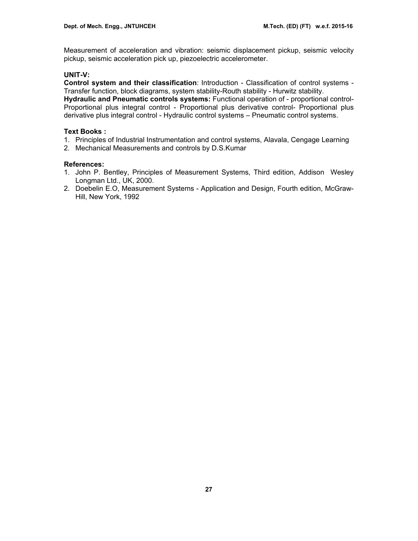Measurement of acceleration and vibration: seismic displacement pickup, seismic velocity pickup, seismic acceleration pick up, piezoelectric accelerometer.

# **UNIT-V:**

**Control system and their classification**: Introduction - Classification of control systems - Transfer function, block diagrams, system stability-Routh stability - Hurwitz stability.

**Hydraulic and Pneumatic controls systems:** Functional operation of - proportional control-Proportional plus integral control - Proportional plus derivative control- Proportional plus derivative plus integral control - Hydraulic control systems – Pneumatic control systems.

## **Text Books :**

- 1. Principles of Industrial Instrumentation and control systems, Alavala, Cengage Learning
- 2. Mechanical Measurements and controls by D.S.Kumar

- 1. John P. Bentley, Principles of Measurement Systems, Third edition, Addison Wesley Longman Ltd., UK, 2000.
- 2. Doebelin E.O, Measurement Systems Application and Design, Fourth edition, McGraw-Hill, New York, 1992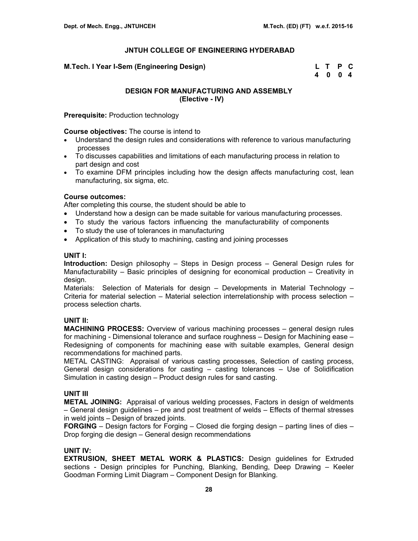| M.Tech. I Year I-Sem (Engineering Design) | L T P C |  |
|-------------------------------------------|---------|--|
|                                           | 4004    |  |

## **DESIGN FOR MANUFACTURING AND ASSEMBLY (Elective - IV)**

**Prerequisite:** Production technology

**Course objectives:** The course is intend to

- Understand the design rules and considerations with reference to various manufacturing processes
- To discusses capabilities and limitations of each manufacturing process in relation to part design and cost
- To examine DFM principles including how the design affects manufacturing cost, lean manufacturing, six sigma, etc.

## **Course outcomes:**

After completing this course, the student should be able to

- Understand how a design can be made suitable for various manufacturing processes.
- To study the various factors influencing the manufacturability of components
- To study the use of tolerances in manufacturing
- Application of this study to machining, casting and joining processes

## **UNIT I:**

**Introduction:** Design philosophy – Steps in Design process – General Design rules for Manufacturability – Basic principles of designing for economical production – Creativity in design.

Materials: Selection of Materials for design – Developments in Material Technology – Criteria for material selection – Material selection interrelationship with process selection – process selection charts.

## **UNIT II:**

**MACHINING PROCESS:** Overview of various machining processes – general design rules for machining - Dimensional tolerance and surface roughness – Design for Machining ease – Redesigning of components for machining ease with suitable examples, General design recommendations for machined parts.

METAL CASTING: Appraisal of various casting processes, Selection of casting process, General design considerations for casting – casting tolerances – Use of Solidification Simulation in casting design – Product design rules for sand casting.

## **UNIT III**

**METAL JOINING:** Appraisal of various welding processes, Factors in design of weldments – General design guidelines – pre and post treatment of welds – Effects of thermal stresses in weld joints – Design of brazed joints.

**FORGING** – Design factors for Forging – Closed die forging design – parting lines of dies – Drop forging die design – General design recommendations

# **UNIT IV:**

**EXTRUSION, SHEET METAL WORK & PLASTICS:** Design guidelines for Extruded sections - Design principles for Punching, Blanking, Bending, Deep Drawing – Keeler Goodman Forming Limit Diagram – Component Design for Blanking.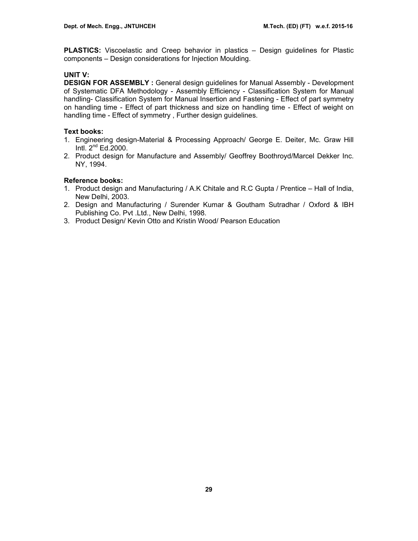**PLASTICS:** Viscoelastic and Creep behavior in plastics – Design guidelines for Plastic components – Design considerations for Injection Moulding.

# **UNIT V:**

**DESIGN FOR ASSEMBLY :** General design guidelines for Manual Assembly - Development of Systematic DFA Methodology - Assembly Efficiency - Classification System for Manual handling- Classification System for Manual Insertion and Fastening - Effect of part symmetry on handling time - Effect of part thickness and size on handling time - Effect of weight on handling time - Effect of symmetry , Further design guidelines.

# **Text books:**

- 1. Engineering design-Material & Processing Approach/ George E. Deiter, Mc. Graw Hill Intl. 2nd Ed.2000.
- 2. Product design for Manufacture and Assembly/ Geoffrey Boothroyd/Marcel Dekker Inc. NY, 1994.

# **Reference books:**

- 1. Product design and Manufacturing / A.K Chitale and R.C Gupta / Prentice Hall of India, New Delhi, 2003.
- 2. Design and Manufacturing / Surender Kumar & Goutham Sutradhar / Oxford & IBH Publishing Co. Pvt .Ltd., New Delhi, 1998.
- 3. Product Design/ Kevin Otto and Kristin Wood/ Pearson Education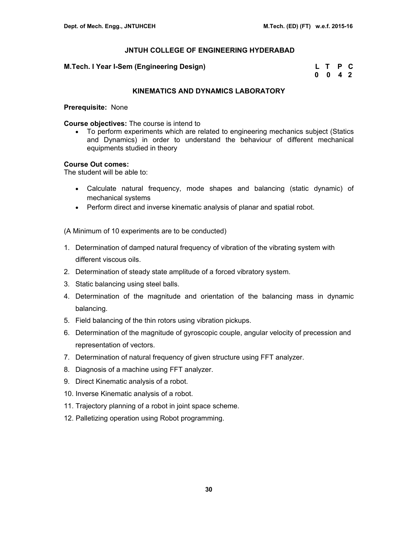#### **M.Tech. I Year I-Sem (Engineering Design)**

| M.Tech. I Year I-Sem (Engineering Design) | L T P C         |  |
|-------------------------------------------|-----------------|--|
|                                           | $0 \t0 \t4 \t2$ |  |

## **KINEMATICS AND DYNAMICS LABORATORY**

#### **Prerequisite:** None

## **Course objectives:** The course is intend to

• To perform experiments which are related to engineering mechanics subject (Statics and Dynamics) in order to understand the behaviour of different mechanical equipments studied in theory

## **Course Out comes:**

The student will be able to:

- Calculate natural frequency, mode shapes and balancing (static dynamic) of mechanical systems
- Perform direct and inverse kinematic analysis of planar and spatial robot.

(A Minimum of 10 experiments are to be conducted)

- 1. Determination of damped natural frequency of vibration of the vibrating system with different viscous oils.
- 2. Determination of steady state amplitude of a forced vibratory system.
- 3. Static balancing using steel balls.
- 4. Determination of the magnitude and orientation of the balancing mass in dynamic balancing.
- 5. Field balancing of the thin rotors using vibration pickups.
- 6. Determination of the magnitude of gyroscopic couple, angular velocity of precession and representation of vectors.
- 7. Determination of natural frequency of given structure using FFT analyzer.
- 8. Diagnosis of a machine using FFT analyzer.
- 9. Direct Kinematic analysis of a robot.
- 10. Inverse Kinematic analysis of a robot.
- 11. Trajectory planning of a robot in joint space scheme.
- 12. Palletizing operation using Robot programming.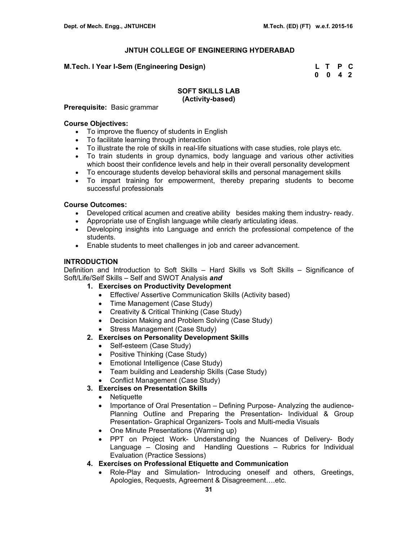## **M.Tech. I Year I-Sem (Engineering Design) L T P C**

 **0 0 4 2** 

## **SOFT SKILLS LAB (Activity-based)**

**Prerequisite:** Basic grammar

## **Course Objectives:**

- To improve the fluency of students in English
- To facilitate learning through interaction
- To illustrate the role of skills in real-life situations with case studies, role plays etc.
- To train students in group dynamics, body language and various other activities which boost their confidence levels and help in their overall personality development
- To encourage students develop behavioral skills and personal management skills
- To impart training for empowerment, thereby preparing students to become successful professionals

## **Course Outcomes:**

- Developed critical acumen and creative ability besides making them industry- ready.
- Appropriate use of English language while clearly articulating ideas.
- Developing insights into Language and enrich the professional competence of the students.
- Enable students to meet challenges in job and career advancement.

## **INTRODUCTION**

Definition and Introduction to Soft Skills – Hard Skills vs Soft Skills – Significance of Soft/Life/Self Skills – Self and SWOT Analysis *and*

- **1. Exercises on Productivity Development** 
	- Effective/ Assertive Communication Skills (Activity based)
	- Time Management (Case Study)
	- Creativity & Critical Thinking (Case Study)
	- Decision Making and Problem Solving (Case Study)
	- Stress Management (Case Study)

## **2. Exercises on Personality Development Skills**

- Self-esteem (Case Study)
- Positive Thinking (Case Study)
- Emotional Intelligence (Case Study)
- Team building and Leadership Skills (Case Study)
- Conflict Management (Case Study)

## **3. Exercises on Presentation Skills**

- Netiquette
- Importance of Oral Presentation Defining Purpose- Analyzing the audience-Planning Outline and Preparing the Presentation- Individual & Group Presentation- Graphical Organizers- Tools and Multi-media Visuals
- One Minute Presentations (Warming up)
- PPT on Project Work- Understanding the Nuances of Delivery- Body Language – Closing and Handling Questions – Rubrics for Individual Evaluation (Practice Sessions)
- **4. Exercises on Professional Etiquette and Communication** 
	- Role-Play and Simulation- Introducing oneself and others, Greetings, Apologies, Requests, Agreement & Disagreement….etc.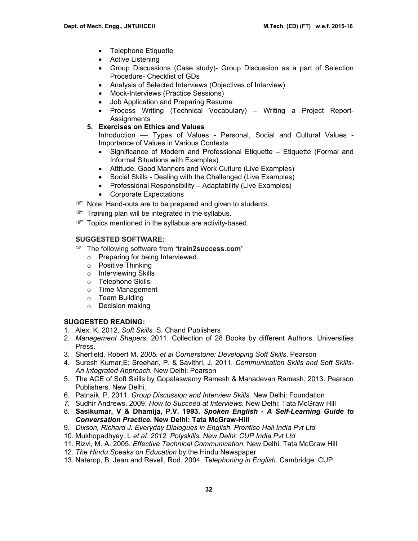- Telephone Etiquette
- Active Listening
- Group Discussions (Case study)- Group Discussion as a part of Selection Procedure- Checklist of GDs
- Analysis of Selected Interviews (Objectives of Interview)
- Mock-Interviews (Practice Sessions)
- Job Application and Preparing Resume
- Process Writing (Technical Vocabulary) Writing a Project Report-Assignments
- **5. Exercises on Ethics and Values**

Introduction –– Types of Values - Personal, Social and Cultural Values - Importance of Values in Various Contexts

- Significance of Modern and Professional Etiquette Etiquette (Formal and Informal Situations with Examples)
- Attitude, Good Manners and Work Culture (Live Examples)
- Social Skills Dealing with the Challenged (Live Examples)
- Professional Responsibility Adaptability (Live Examples)
- Corporate Expectations
- **P** Note: Hand-outs are to be prepared and given to students.
- $\mathcal{F}$  Training plan will be integrated in the syllabus.
- Topics mentioned in the syllabus are activity-based.

#### **SUGGESTED SOFTWARE:**

- ) The following software from **'train2success.com'** 
	- o Preparing for being Interviewed
	- o Positive Thinking
	- o Interviewing Skills
	- o Telephone Skills
	- o Time Management
	- o Team Building
	- o Decision making

## **SUGGESTED READING:**

- 1. Alex, K. 2012. *Soft Skills.* S. Chand Publishers
- 2. *Management Shapers*. 2011. Collection of 28 Books by different Authors. Universities Press.
- 3. Sherfield, Robert M. *2005. et al Cornerstone: Developing Soft Skills*. Pearson
- 4. Suresh Kumar,E; Sreehari, P. & Savithri, J. 2011. *Communication Skills and Soft Skills-An Integrated Approach.* New Delhi: Pearson
- 5. The ACE of Soft Skills by Gopalaswamy Ramesh & Mahadevan Ramesh. 2013. Pearson Publishers. New Delhi.
- 6. Patnaik, P. 2011. *Group Discussion and Interview Skills.* New Delhi: Foundation
- *7.* Sudhir Andrews. 2009. *How to Succeed at Interviews.* New Delhi: Tata McGraw Hill
- 8. **Sasikumar, V & Dhamija, P.V. 1993.** *Spoken English A Self-Learning Guide to Conversation Practice.* **New Delhi: Tata McGraw-Hill**
- 9. *Dixson, Richard J. Everyday Dialogues in English. Prentice Hall India Pvt Ltd*
- 10. Mukhopadhyay. L *et al. 2012. Polyskills. New Delhi: CUP India Pvt Ltd*
- 11. Rizvi, M. A. 2005. *Effective Technical Communication.* New Delhi: Tata McGraw Hill
- 12. *The Hindu Speaks on Education* by the Hindu Newspaper
- 13. Naterop, B. Jean and Revell, Rod. 2004. *Telephoning in English*. Cambridge: CUP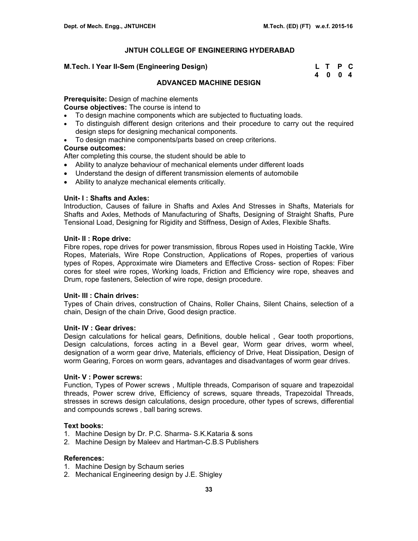#### **M.Tech. I Year II-Sem (Engineering Design)**

| M.Tech. I Year II-Sem (Engineering Design) | L T P C |  |
|--------------------------------------------|---------|--|
|                                            | 4004    |  |

## **ADVANCED MACHINE DESIGN**

**Prerequisite:** Design of machine elements

**Course objectives:** The course is intend to

- To design machine components which are subjected to fluctuating loads.
- To distinguish different design criterions and their procedure to carry out the required design steps for designing mechanical components.
- To design machine components/parts based on creep criterions.

## **Course outcomes:**

After completing this course, the student should be able to

- Ability to analyze behaviour of mechanical elements under different loads
- Understand the design of different transmission elements of automobile
- Ability to analyze mechanical elements critically.

## **Unit- I : Shafts and Axles:**

Introduction, Causes of failure in Shafts and Axles And Stresses in Shafts, Materials for Shafts and Axles, Methods of Manufacturing of Shafts, Designing of Straight Shafts, Pure Tensional Load, Designing for Rigidity and Stiffness, Design of Axles, Flexible Shafts.

## **Unit- II : Rope drive:**

Fibre ropes, rope drives for power transmission, fibrous Ropes used in Hoisting Tackle, Wire Ropes, Materials, Wire Rope Construction, Applications of Ropes, properties of various types of Ropes, Approximate wire Diameters and Effective Cross- section of Ropes: Fiber cores for steel wire ropes, Working loads, Friction and Efficiency wire rope, sheaves and Drum, rope fasteners, Selection of wire rope, design procedure.

#### **Unit- III : Chain drives:**

Types of Chain drives, construction of Chains, Roller Chains, Silent Chains, selection of a chain, Design of the chain Drive, Good design practice.

#### **Unit- IV : Gear drives:**

Design calculations for helical gears, Definitions, double helical , Gear tooth proportions, Design calculations, forces acting in a Bevel gear, Worm gear drives, worm wheel, designation of a worm gear drive, Materials, efficiency of Drive, Heat Dissipation, Design of worm Gearing, Forces on worm gears, advantages and disadvantages of worm gear drives.

#### **Unit- V : Power screws:**

Function, Types of Power screws , Multiple threads, Comparison of square and trapezoidal threads, Power screw drive, Efficiency of screws, square threads, Trapezoidal Threads, stresses in screws design calculations, design procedure, other types of screws, differential and compounds screws , ball baring screws.

#### **Text books:**

- 1. Machine Design by Dr. P.C. Sharma- S.K.Kataria & sons
- 2. Machine Design by Maleev and Hartman-C.B.S Publishers

- 1. Machine Design by Schaum series
- 2. Mechanical Engineering design by J.E. Shigley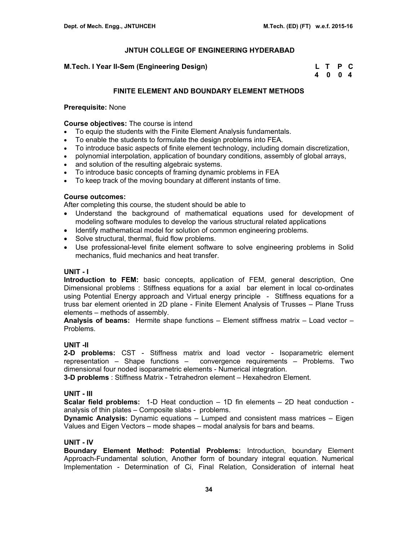## **M.Tech. I Year II-Sem (Engineering Design)**

| M.Tech. I Year II-Sem (Engineering Design) | L T P C |  |
|--------------------------------------------|---------|--|
|                                            | 4004    |  |

## **FINITE ELEMENT AND BOUNDARY ELEMENT METHODS**

#### **Prerequisite:** None

**Course objectives:** The course is intend

- To equip the students with the Finite Element Analysis fundamentals.
- To enable the students to formulate the design problems into FEA.
- To introduce basic aspects of finite element technology, including domain discretization,
- polynomial interpolation, application of boundary conditions, assembly of global arrays,
- and solution of the resulting algebraic systems.
- To introduce basic concepts of framing dynamic problems in FEA
- To keep track of the moving boundary at different instants of time.

## **Course outcomes:**

After completing this course, the student should be able to

- Understand the background of mathematical equations used for development of modeling software modules to develop the various structural related applications
- Identify mathematical model for solution of common engineering problems.
- Solve structural, thermal, fluid flow problems.
- Use professional-level finite element software to solve engineering problems in Solid mechanics, fluid mechanics and heat transfer.

#### **UNIT - I**

**Introduction to FEM:** basic concepts, application of FEM, general description, One Dimensional problems : Stiffness equations for a axial bar element in local co-ordinates using Potential Energy approach and Virtual energy principle - Stiffness equations for a truss bar element oriented in 2D plane - Finite Element Analysis of Trusses – Plane Truss elements – methods of assembly.

**Analysis of beams:** Hermite shape functions – Element stiffness matrix – Load vector – Problems.

#### **UNIT -II**

**2-D problems:** CST - Stiffness matrix and load vector - Isoparametric element representation – Shape functions – convergence requirements – Problems. Two dimensional four noded isoparametric elements - Numerical integration.

**3-D problems** : Stiffness Matrix - Tetrahedron element – Hexahedron Element.

## **UNIT - III**

**Scalar field problems:** 1-D Heat conduction – 1D fin elements – 2D heat conduction analysis of thin plates – Composite slabs - problems.

**Dynamic Analysis:** Dynamic equations – Lumped and consistent mass matrices – Eigen Values and Eigen Vectors – mode shapes – modal analysis for bars and beams.

#### **UNIT - IV**

**Boundary Element Method: Potential Problems:** Introduction, boundary Element Approach-Fundamental solution, Another form of boundary integral equation. Numerical Implementation - Determination of Ci, Final Relation, Consideration of internal heat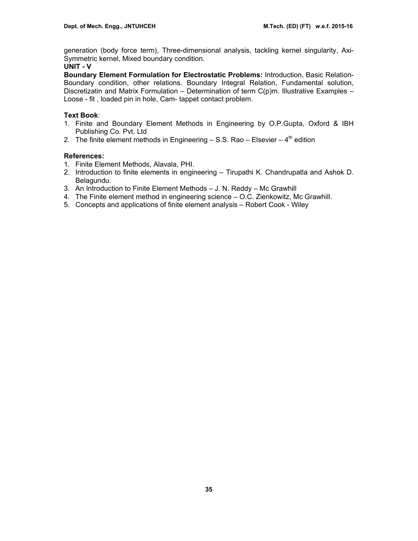generation (body force term), Three-dimensional analysis, tackling kernel singularity, Axi-Symmetric kernel, Mixed boundary condition.

## **UNIT - V**

**Boundary Element Formulation for Electrostatic Problems:** Introduction, Basic Relation-Boundary condition, other relations. Boundary Integral Relation, Fundamental solution, Discretizatin and Matrix Formulation – Determination of term  $C(p)m$ . Illustrative Examples – Loose - fit , loaded pin in hole, Cam- tappet contact problem.

## **Text Book**:

- 1. Finite and Boundary Element Methods in Engineering by O.P.Gupta, Oxford & IBH Publishing Co. Pvt. Ltd
- 2. The finite element methods in Engineering  $-$  S.S. Rao  $-$  Elsevier  $-$  4<sup>th</sup> edition

- 1. Finite Element Methods, Alavala, PHI.
- 2.Introduction to finite elements in engineering Tirupathi K. Chandrupatla and Ashok D. Belagundu.
- 3. An Introduction to Finite Element Methods J. N. Reddy Mc Grawhill
- 4. The Finite element method in engineering science O.C. Zienkowitz, Mc Grawhill.
- 5. Concepts and applications of finite element analysis Robert Cook Wiley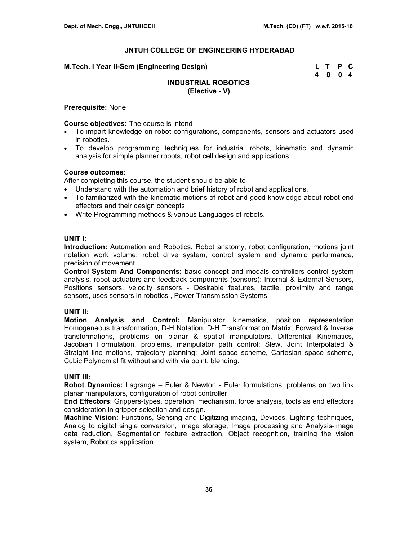#### **M.Tech. I Year II-Sem (Engineering Design)**

| M.Tech. I Year II-Sem (Engineering Design) | L T P C |  |
|--------------------------------------------|---------|--|
|                                            | 4004    |  |

## **INDUSTRIAL ROBOTICS (Elective - V)**

#### **Prerequisite:** None

#### **Course objectives:** The course is intend

- To impart knowledge on robot configurations, components, sensors and actuators used in robotics.
- To develop programming techniques for industrial robots, kinematic and dynamic analysis for simple planner robots, robot cell design and applications.

## **Course outcomes**:

After completing this course, the student should be able to

- Understand with the automation and brief history of robot and applications.
- To familiarized with the kinematic motions of robot and good knowledge about robot end effectors and their design concepts.
- Write Programming methods & various Languages of robots.

## **UNIT I:**

**Introduction:** Automation and Robotics, Robot anatomy, robot configuration, motions joint notation work volume, robot drive system, control system and dynamic performance, precision of movement.

**Control System And Components:** basic concept and modals controllers control system analysis, robot actuators and feedback components (sensors): Internal & External Sensors, Positions sensors, velocity sensors - Desirable features, tactile, proximity and range sensors, uses sensors in robotics , Power Transmission Systems.

## **UNIT II:**

**Motion Analysis and Control:** Manipulator kinematics, position representation Homogeneous transformation, D-H Notation, D-H Transformation Matrix, Forward & Inverse transformations, problems on planar & spatial manipulators, Differential Kinematics, Jacobian Formulation, problems, manipulator path control: Slew, Joint Interpolated & Straight line motions, trajectory planning: Joint space scheme, Cartesian space scheme, Cubic Polynomial fit without and with via point, blending.

## **UNIT III:**

**Robot Dynamics:** Lagrange – Euler & Newton - Euler formulations, problems on two link planar manipulators, configuration of robot controller.

**End Effectors**: Grippers-types, operation, mechanism, force analysis, tools as end effectors consideration in gripper selection and design.

**Machine Vision:** Functions, Sensing and Digitizing-imaging, Devices, Lighting techniques, Analog to digital single conversion, Image storage, Image processing and Analysis-image data reduction, Segmentation feature extraction. Object recognition, training the vision system, Robotics application.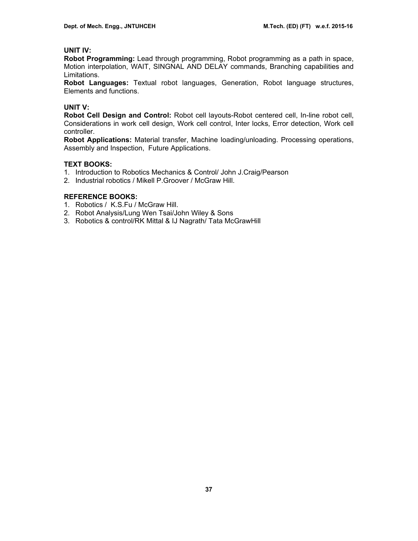## **UNIT IV:**

**Robot Programming:** Lead through programming, Robot programming as a path in space, Motion interpolation, WAIT, SINGNAL AND DELAY commands, Branching capabilities and Limitations.

**Robot Languages:** Textual robot languages, Generation, Robot language structures, Elements and functions.

# **UNIT V:**

**Robot Cell Design and Control:** Robot cell layouts-Robot centered cell, In-line robot cell, Considerations in work cell design, Work cell control, Inter locks, Error detection, Work cell controller.

**Robot Applications:** Material transfer, Machine loading/unloading. Processing operations, Assembly and Inspection, Future Applications.

## **TEXT BOOKS:**

- 1. Introduction to Robotics Mechanics & Control/ John J.Craig/Pearson
- 2. Industrial robotics / Mikell P.Groover / McGraw Hill.

## **REFERENCE BOOKS:**

- 1. Robotics / K.S.Fu / McGraw Hill.
- 2. Robot Analysis/Lung Wen Tsai/John Wiley & Sons
- 3. Robotics & control/RK Mittal & IJ Nagrath/ Tata McGrawHill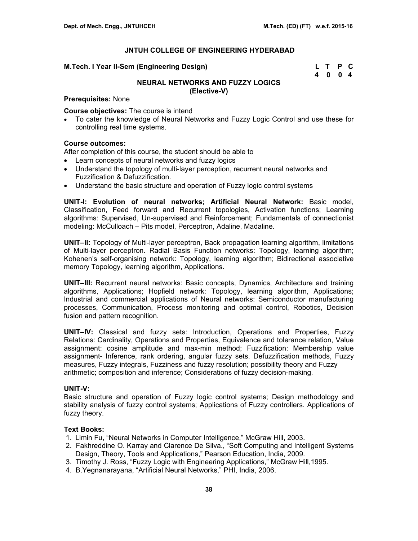#### **M.Tech. I Year II-Sem (Engineering Design)**

| M.Tech. I Year II-Sem (Engineering Design) | L T P C |  |
|--------------------------------------------|---------|--|
|                                            | 4 0 0 4 |  |

# **NEURAL NETWORKS AND FUZZY LOGICS (Elective-V)**

#### **Prerequisites:** None

**Course objectives:** The course is intend

• To cater the knowledge of Neural Networks and Fuzzy Logic Control and use these for controlling real time systems.

## **Course outcomes:**

After completion of this course, the student should be able to

- Learn concepts of neural networks and fuzzy logics
- Understand the topology of multi-layer perception, recurrent neural networks and Fuzzification & Defuzzification.
- Understand the basic structure and operation of Fuzzy logic control systems

**UNIT-I: Evolution of neural networks; Artificial Neural Network:** Basic model, Classification, Feed forward and Recurrent topologies, Activation functions; Learning algorithms: Supervised, Un-supervised and Reinforcement; Fundamentals of connectionist modeling: McCulloach – Pits model, Perceptron, Adaline, Madaline.

**UNIT–II:** Topology of Multi-layer perceptron, Back propagation learning algorithm, limitations of Multi-layer perceptron. Radial Basis Function networks: Topology, learning algorithm; Kohenen's self-organising network: Topology, learning algorithm; Bidirectional associative memory Topology, learning algorithm, Applications.

**UNIT–III:** Recurrent neural networks: Basic concepts, Dynamics, Architecture and training algorithms, Applications; Hopfield network: Topology, learning algorithm, Applications; Industrial and commercial applications of Neural networks: Semiconductor manufacturing processes, Communication, Process monitoring and optimal control, Robotics, Decision fusion and pattern recognition.

**UNIT–IV:** Classical and fuzzy sets: Introduction, Operations and Properties, Fuzzy Relations: Cardinality, Operations and Properties, Equivalence and tolerance relation, Value assignment: cosine amplitude and max-min method; Fuzzification: Membership value assignment- Inference, rank ordering, angular fuzzy sets. Defuzzification methods, Fuzzy measures, Fuzzy integrals, Fuzziness and fuzzy resolution; possibility theory and Fuzzy arithmetic; composition and inference; Considerations of fuzzy decision-making.

#### **UNIT-V:**

Basic structure and operation of Fuzzy logic control systems; Design methodology and stability analysis of fuzzy control systems; Applications of Fuzzy controllers. Applications of fuzzy theory.

#### **Text Books:**

- 1. Limin Fu, "Neural Networks in Computer Intelligence," McGraw Hill, 2003.
- 2. Fakhreddine O. Karray and Clarence De Silva., "Soft Computing and Intelligent Systems Design, Theory, Tools and Applications," Pearson Education, India, 2009.
- 3. Timothy J. Ross, "Fuzzy Logic with Engineering Applications," McGraw Hill,1995.
- 4. B.Yegnanarayana, "Artificial Neural Networks," PHI, India, 2006.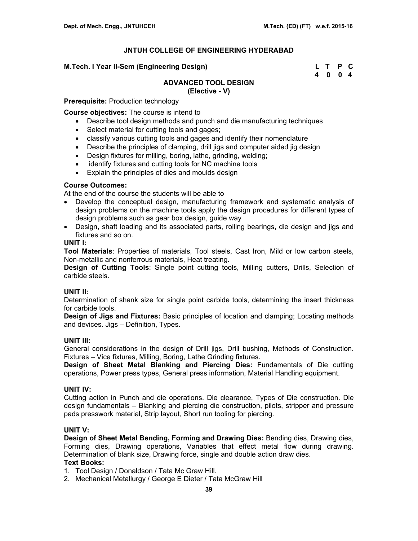#### **M.Tech. I Year II-Sem (Engineering Design)**

| M.Tech. I Year II-Sem (Engineering Design) | L T P C |  |
|--------------------------------------------|---------|--|
|                                            | 4004    |  |

# **ADVANCED TOOL DESIGN**

**(Elective - V)**

**Prerequisite:** Production technology

**Course objectives:** The course is intend to

- Describe tool design methods and punch and die manufacturing techniques
- Select material for cutting tools and gages;
- classify various cutting tools and gages and identify their nomenclature
- Describe the principles of clamping, drill jigs and computer aided jig design
- Design fixtures for milling, boring, lathe, grinding, welding;
- identify fixtures and cutting tools for NC machine tools
- Explain the principles of dies and moulds design

## **Course Outcomes:**

At the end of the course the students will be able to

- Develop the conceptual design, manufacturing framework and systematic analysis of design problems on the machine tools apply the design procedures for different types of design problems such as gear box design, guide way
- Design, shaft loading and its associated parts, rolling bearings, die design and jigs and fixtures and so on.

## **UNIT I:**

**Tool Materials**: Properties of materials, Tool steels, Cast Iron, Mild or low carbon steels, Non-metallic and nonferrous materials, Heat treating.

**Design of Cutting Tools**: Single point cutting tools, Milling cutters, Drills, Selection of carbide steels.

## **UNIT II:**

Determination of shank size for single point carbide tools, determining the insert thickness for carbide tools.

**Design of Jigs and Fixtures:** Basic principles of location and clamping; Locating methods and devices. Jigs – Definition, Types.

## **UNIT III:**

General considerations in the design of Drill jigs, Drill bushing, Methods of Construction. Fixtures – Vice fixtures, Milling, Boring, Lathe Grinding fixtures.

**Design of Sheet Metal Blanking and Piercing Dies:** Fundamentals of Die cutting operations, Power press types, General press information, Material Handling equipment.

## **UNIT IV:**

Cutting action in Punch and die operations. Die clearance, Types of Die construction. Die design fundamentals – Blanking and piercing die construction, pilots, stripper and pressure pads presswork material, Strip layout, Short run tooling for piercing.

## **UNIT V:**

**Design of Sheet Metal Bending, Forming and Drawing Dies:** Bending dies, Drawing dies, Forming dies, Drawing operations, Variables that effect metal flow during drawing. Determination of blank size, Drawing force, single and double action draw dies.

## **Text Books:**

1. Tool Design / Donaldson / Tata Mc Graw Hill.

2. Mechanical Metallurgy / George E Dieter / Tata McGraw Hill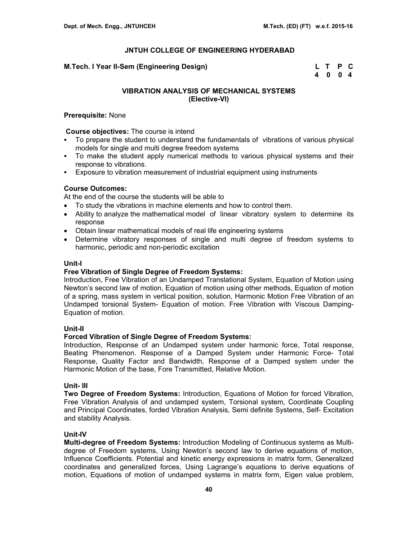#### **M.Tech. I Year II-Sem (Engineering Design)**

| M.Tech. I Year II-Sem (Engineering Design) | L T P C |  |
|--------------------------------------------|---------|--|
|                                            | 4 0 0 4 |  |

## **VIBRATION ANALYSIS OF MECHANICAL SYSTEMS (Elective-VI)**

#### **Prerequisite:** None

**Course objectives:** The course is intend

- To prepare the student to understand the fundamentals of vibrations of various physical models for single and multi degree freedom systems
- To make the student apply numerical methods to various physical systems and their response to vibrations.
- Exposure to vibration measurement of industrial equipment using instruments

## **Course Outcomes:**

At the end of the course the students will be able to

- To study the vibrations in machine elements and how to control them.
- Ability to analyze the mathematical model of linear vibratory system to determine its response
- Obtain linear mathematical models of real life engineering systems
- Determine vibratory responses of single and multi degree of freedom systems to harmonic, periodic and non-periodic excitation

#### **Unit-I**

#### **Free Vibration of Single Degree of Freedom Systems:**

Introduction, Free Vibration of an Undamped Translational System, Equation of Motion using Newton's second law of motion, Equation of motion using other methods, Equation of motion of a spring, mass system in vertical position, solution, Harmonic Motion Free Vibration of an Undamped torsional System- Equation of motion. Free Vibration with Viscous Damping-Equation of motion.

#### **Unit-II**

## **Forced Vibration of Single Degree of Freedom Systems:**

Introduction, Response of an Undamped system under harmonic force, Total response, Beating Phenomenon. Response of a Damped System under Harmonic Force- Total Response, Quality Factor and Bandwidth, Response of a Damped system under the Harmonic Motion of the base, Fore Transmitted, Relative Motion.

#### **Unit- III**

**Two Degree of Freedom Systems:** Introduction, Equations of Motion for forced Vibration, Free Vibration Analysis of and undamped system, Torsional system, Coordinate Coupling and Principal Coordinates, forded Vibration Analysis, Semi definite Systems, Self- Excitation and stability Analysis.

## **Unit-IV**

**Multi-degree of Freedom Systems:** Introduction Modeling of Continuous systems as Multidegree of Freedom systems, Using Newton's second law to derive equations of motion, Influence Coefficients. Potential and kinetic energy expressions in matrix form, Generalized coordinates and generalized forces, Using Lagrange's equations to derive equations of motion, Equations of motion of undamped systems in matrix form, Eigen value problem,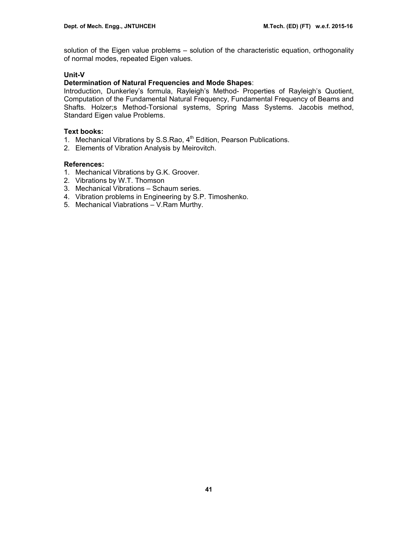solution of the Eigen value problems – solution of the characteristic equation, orthogonality of normal modes, repeated Eigen values.

# **Unit-V**

# **Determination of Natural Frequencies and Mode Shapes**:

Introduction, Dunkerley's formula, Rayleigh's Method- Properties of Rayleigh's Quotient, Computation of the Fundamental Natural Frequency, Fundamental Frequency of Beams and Shafts. Holzer;s Method-Torsional systems, Spring Mass Systems. Jacobis method, Standard Eigen value Problems.

## **Text books:**

- 1. Mechanical Vibrations by S.S.Rao, 4<sup>th</sup> Edition, Pearson Publications.
- 2. Elements of Vibration Analysis by Meirovitch.

- 1. Mechanical Vibrations by G.K. Groover.
- 2. Vibrations by W.T. Thomson
- 3. Mechanical Vibrations Schaum series.
- 4. Vibration problems in Engineering by S.P. Timoshenko.
- 5. Mechanical Viabrations V.Ram Murthy.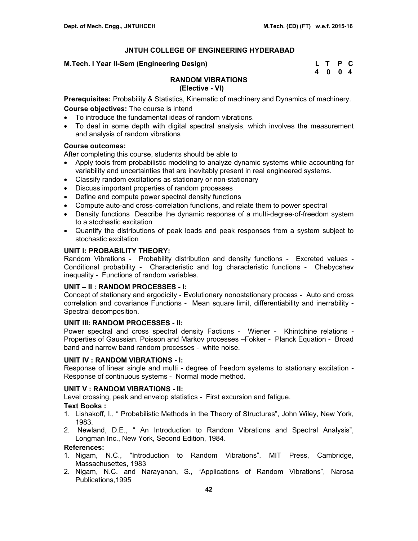## **M.Tech. I Year II-Sem (Engineering Design)**

| M.Tech. I Year II-Sem (Engineering Design) | L T P C |  |
|--------------------------------------------|---------|--|
|                                            | 4004    |  |

# **RANDOM VIBRATIONS**

## **(Elective - VI)**

**Prerequisites:** Probability & Statistics, Kinematic of machinery and Dynamics of machinery.

# **Course objectives:** The course is intend

- To introduce the fundamental ideas of random vibrations.
- To deal in some depth with digital spectral analysis, which involves the measurement and analysis of random vibrations

## **Course outcomes:**

After completing this course, students should be able to

- Apply tools from probabilistic modeling to analyze dynamic systems while accounting for variability and uncertainties that are inevitably present in real engineered systems.
- Classify random excitations as stationary or non-stationary
- Discuss important properties of random processes
- Define and compute power spectral density functions
- Compute auto-and cross-correlation functions, and relate them to power spectral
- Density functions Describe the dynamic response of a multi-degree-of-freedom system to a stochastic excitation
- Quantify the distributions of peak loads and peak responses from a system subject to stochastic excitation

## **UNIT I: PROBABILITY THEORY:**

Random Vibrations - Probability distribution and density functions - Excreted values - Conditional probability - Characteristic and log characteristic functions - Chebycshev inequality - Functions of random variables.

# **UNIT – II : RANDOM PROCESSES - I:**

Concept of stationary and ergodicity - Evolutionary nonostationary process - Auto and cross correlation and covariance Functions - Mean square limit, differentiability and inerrability - Spectral decomposition.

## **UNIT III: RANDOM PROCESSES - II:**

Power spectral and cross spectral density Factions - Wiener - Khintchine relations - Properties of Gaussian. Poisson and Markov processes –Fokker - Planck Equation - Broad band and narrow band random processes - white noise.

## **UNIT IV : RANDOM VIBRATIONS - I:**

Response of linear single and multi - degree of freedom systems to stationary excitation - Response of continuous systems - Normal mode method.

## **UNIT V : RANDOM VIBRATIONS - II:**

Level crossing, peak and envelop statistics - First excursion and fatigue.

## **Text Books :**

- 1. Lishakoff, I., " Probabilistic Methods in the Theory of Structures", John Wiley, New York, 1983.
- 2. Newland, D.E., " An Introduction to Random Vibrations and Spectral Analysis", Longman Inc., New York, Second Edition, 1984.

- 1. Nigam, N.C., "Introduction to Random Vibrations". MIT Press, Cambridge, Massachusettes, 1983
- 2. Nigam, N.C. and Narayanan, S., "Applications of Random Vibrations", Narosa Publications,1995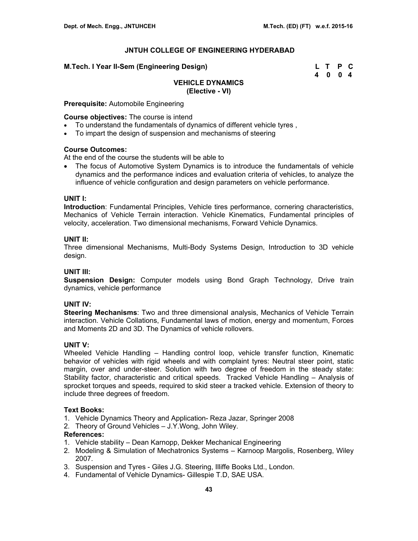#### **M.Tech. I Year II-Sem (Engineering Design) L T P C**

 **4 0 0 4** 

## **VEHICLE DYNAMICS (Elective - VI)**

**Prerequisite:** Automobile Engineering

**Course objectives:** The course is intend

- To understand the fundamentals of dynamics of different vehicle tyres ,
- To impart the design of suspension and mechanisms of steering

#### **Course Outcomes:**

At the end of the course the students will be able to

• The focus of Automotive System Dynamics is to introduce the fundamentals of vehicle dynamics and the performance indices and evaluation criteria of vehicles, to analyze the influence of vehicle configuration and design parameters on vehicle performance.

#### **UNIT I:**

**Introduction**: Fundamental Principles, Vehicle tires performance, cornering characteristics, Mechanics of Vehicle Terrain interaction. Vehicle Kinematics, Fundamental principles of velocity, acceleration. Two dimensional mechanisms, Forward Vehicle Dynamics.

## **UNIT II:**

Three dimensional Mechanisms, Multi-Body Systems Design, Introduction to 3D vehicle design.

## **UNIT III:**

**Suspension Design:** Computer models using Bond Graph Technology, Drive train dynamics, vehicle performance

## **UNIT IV:**

**Steering Mechanisms**: Two and three dimensional analysis, Mechanics of Vehicle Terrain interaction. Vehicle Collations, Fundamental laws of motion, energy and momentum, Forces and Moments 2D and 3D. The Dynamics of vehicle rollovers.

#### **UNIT V:**

Wheeled Vehicle Handling – Handling control loop, vehicle transfer function, Kinematic behavior of vehicles with rigid wheels and with complaint tyres: Neutral steer point, static margin, over and under-steer. Solution with two degree of freedom in the steady state: Stability factor, characteristic and critical speeds. Tracked Vehicle Handling – Analysis of sprocket torques and speeds, required to skid steer a tracked vehicle. Extension of theory to include three degrees of freedom.

# **Text Books:**

- 1. Vehicle Dynamics Theory and Application- Reza Jazar, Springer 2008
- 2. Theory of Ground Vehicles J.Y.Wong, John Wiley.

- 1. Vehicle stability Dean Karnopp, Dekker Mechanical Engineering
- 2. Modeling & Simulation of Mechatronics Systems Karnoop Margolis, Rosenberg, Wiley 2007.
- 3. Suspension and Tyres Giles J.G. Steering, Illiffe Books Ltd., London.
- 4. Fundamental of Vehicle Dynamics- Gillespie T.D, SAE USA.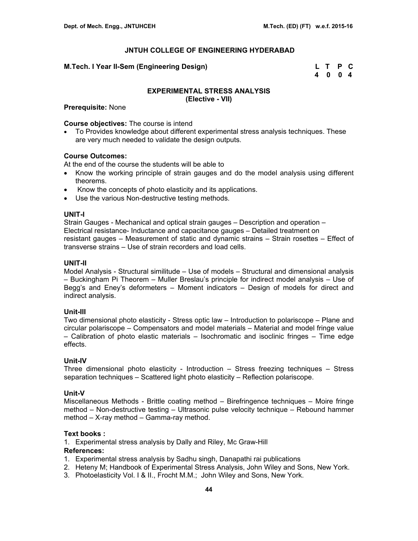## **M.Tech. I Year II-Sem (Engineering Design)**

| M.Tech. I Year II-Sem (Engineering Design) | L T P C |  |
|--------------------------------------------|---------|--|
|                                            | 4 0 0 4 |  |

## **EXPERIMENTAL STRESS ANALYSIS (Elective - VII)**

**Prerequisite:** None

#### **Course objectives:** The course is intend

• To Provides knowledge about different experimental stress analysis techniques. These are very much needed to validate the design outputs.

## **Course Outcomes:**

At the end of the course the students will be able to

- Know the working principle of strain gauges and do the model analysis using different theorems.
- Know the concepts of photo elasticity and its applications.
- Use the various Non-destructive testing methods.

#### **UNIT-I**

Strain Gauges - Mechanical and optical strain gauges – Description and operation – Electrical resistance- Inductance and capacitance gauges – Detailed treatment on resistant gauges – Measurement of static and dynamic strains – Strain rosettes – Effect of transverse strains – Use of strain recorders and load cells.

## **UNIT-II**

Model Analysis - Structural similitude – Use of models – Structural and dimensional analysis – Buckingham Pi Theorem – Muller Breslau's principle for indirect model analysis – Use of Begg's and Eney's deformeters – Moment indicators – Design of models for direct and indirect analysis.

#### **Unit-III**

Two dimensional photo elasticity - Stress optic law – Introduction to polariscope – Plane and circular polariscope – Compensators and model materials – Material and model fringe value – Calibration of photo elastic materials – Isochromatic and isoclinic fringes – Time edge effects.

## **Unit-IV**

Three dimensional photo elasticity - Introduction – Stress freezing techniques – Stress separation techniques – Scattered light photo elasticity – Reflection polariscope.

#### **Unit-V**

Miscellaneous Methods - Brittle coating method – Birefringence techniques – Moire fringe method – Non-destructive testing – Ultrasonic pulse velocity technique – Rebound hammer method – X-ray method – Gamma-ray method.

#### **Text books :**

1. Experimental stress analysis by Dally and Riley, Mc Graw-Hill

- 1. Experimental stress analysis by Sadhu singh, Danapathi rai publications
- 2. Heteny M; Handbook of Experimental Stress Analysis, John Wiley and Sons, New York.
- 3. Photoelasticity Vol. I & II., Frocht M.M.; John Wiley and Sons, New York.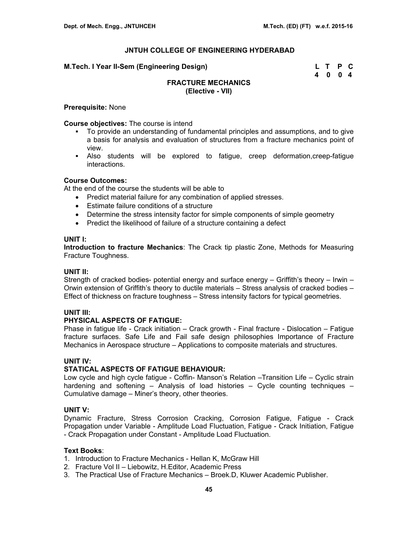#### **M.Tech. I Year II-Sem (Engineering Design)**

| M.Tech. I Year II-Sem (Engineering Design) | L T P C |  |
|--------------------------------------------|---------|--|
|                                            | 4 0 0 4 |  |

## **FRACTURE MECHANICS (Elective - VII)**

#### **Prerequisite:** None

#### **Course objectives:** The course is intend

- To provide an understanding of fundamental principles and assumptions, and to give a basis for analysis and evaluation of structures from a fracture mechanics point of view.
- Also students will be explored to fatigue, creep deformation,creep-fatigue interactions.

## **Course Outcomes:**

At the end of the course the students will be able to

- Predict material failure for any combination of applied stresses.
- Estimate failure conditions of a structure
- Determine the stress intensity factor for simple components of simple geometry
- Predict the likelihood of failure of a structure containing a defect

#### **UNIT I:**

**Introduction to fracture Mechanics**: The Crack tip plastic Zone, Methods for Measuring Fracture Toughness.

#### **UNIT II:**

Strength of cracked bodies- potential energy and surface energy – Griffith's theory – Irwin – Orwin extension of Griffith's theory to ductile materials – Stress analysis of cracked bodies – Effect of thickness on fracture toughness – Stress intensity factors for typical geometries.

#### **UNIT III:**

## **PHYSICAL ASPECTS OF FATIGUE:**

Phase in fatigue life - Crack initiation – Crack growth - Final fracture - Dislocation – Fatigue fracture surfaces. Safe Life and Fail safe design philosophies Importance of Fracture Mechanics in Aerospace structure – Applications to composite materials and structures.

## **UNIT IV:**

# **STATICAL ASPECTS OF FATIGUE BEHAVIOUR:**

Low cycle and high cycle fatigue - Coffin- Manson's Relation –Transition Life – Cyclic strain hardening and softening – Analysis of load histories – Cycle counting techniques – Cumulative damage – Miner's theory, other theories.

## **UNIT V:**

Dynamic Fracture, Stress Corrosion Cracking, Corrosion Fatigue, Fatigue - Crack Propagation under Variable - Amplitude Load Fluctuation, Fatigue - Crack Initiation, Fatigue - Crack Propagation under Constant - Amplitude Load Fluctuation.

## **Text Books**:

- 1. Introduction to Fracture Mechanics Hellan K, McGraw Hill
- 2. Fracture Vol II Liebowitz, H.Editor, Academic Press
- 3. The Practical Use of Fracture Mechanics Broek.D, Kluwer Academic Publisher.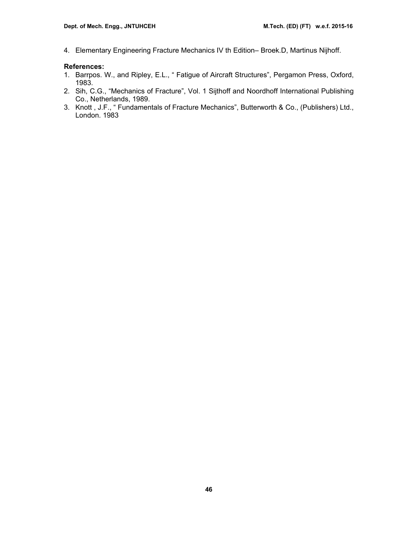4. Elementary Engineering Fracture Mechanics IV th Edition– Broek.D, Martinus Nijhoff.

- 1. Barrpos. W., and Ripley, E.L., " Fatigue of Aircraft Structures", Pergamon Press, Oxford, 1983.
- 2. Sih, C.G., "Mechanics of Fracture", Vol. 1 Sijthoff and Noordhoff International Publishing Co., Netherlands, 1989.
- 3. Knott , J.F., " Fundamentals of Fracture Mechanics", Butterworth & Co., (Publishers) Ltd., London. 1983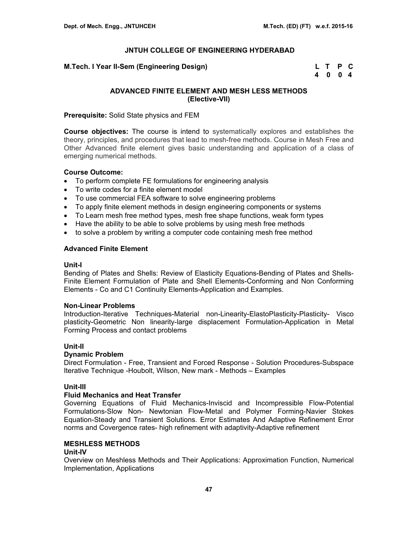**M.Tech. I Year II-Sem (Engineering Design)** 

| M.Tech. I Year II-Sem (Engineering Design) | L T P C |  |
|--------------------------------------------|---------|--|
|                                            | 4 0 0 4 |  |

## **ADVANCED FINITE ELEMENT AND MESH LESS METHODS (Elective-VII)**

**Prerequisite:** Solid State physics and FEM

**Course objectives:** The course is intend to systematically explores and establishes the theory, principles, and procedures that lead to mesh-free methods. Course in Mesh Free and Other Advanced finite element gives basic understanding and application of a class of emerging numerical methods.

#### **Course Outcome:**

- To perform complete FE formulations for engineering analysis
- To write codes for a finite element model
- To use commercial FEA software to solve engineering problems
- To apply finite element methods in design engineering components or systems
- To Learn mesh free method types, mesh free shape functions, weak form types
- Have the ability to be able to solve problems by using mesh free methods
- to solve a problem by writing a computer code containing mesh free method

#### **Advanced Finite Element**

#### **Unit-I**

Bending of Plates and Shells: Review of Elasticity Equations-Bending of Plates and Shells-Finite Element Formulation of Plate and Shell Elements-Conforming and Non Conforming Elements - Co and C1 Continuity Elements-Application and Examples.

#### **Non-Linear Problems**

Introduction-Iterative Techniques-Material non-Linearity-ElastoPlasticity-Plasticity- Visco plasticity-Geometric Non linearity-large displacement Formulation-Application in Metal Forming Process and contact problems

#### **Unit-II**

## **Dynamic Problem**

Direct Formulation - Free, Transient and Forced Response - Solution Procedures-Subspace Iterative Technique -Houbolt, Wilson, New mark - Methods – Examples

## **Unit-III**

## **Fluid Mechanics and Heat Transfer**

Governing Equations of Fluid Mechanics-Inviscid and Incompressible Flow-Potential Formulations-Slow Non- Newtonian Flow-Metal and Polymer Forming-Navier Stokes Equation-Steady and Transient Solutions. Error Estimates And Adaptive Refinement Error norms and Covergence rates- high refinement with adaptivity-Adaptive refinement

## **MESHLESS METHODS**

## **Unit-IV**

Overview on Meshless Methods and Their Applications: Approximation Function, Numerical Implementation, Applications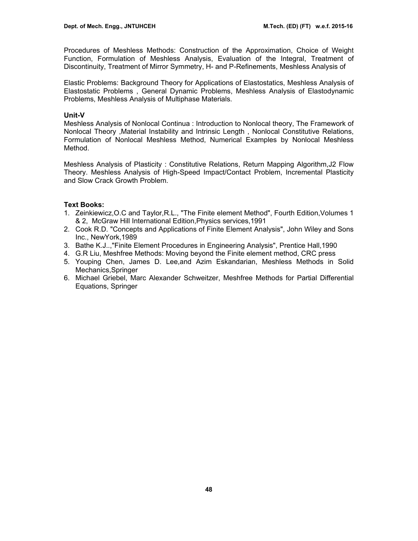Procedures of Meshless Methods: Construction of the Approximation, Choice of Weight Function, Formulation of Meshless Analysis, Evaluation of the Integral, Treatment of Discontinuity, Treatment of Mirror Symmetry, H- and P-Refinements, Meshless Analysis of

Elastic Problems: Background Theory for Applications of Elastostatics, Meshless Analysis of Elastostatic Problems , General Dynamic Problems, Meshless Analysis of Elastodynamic Problems, Meshless Analysis of Multiphase Materials.

#### **Unit-V**

Meshless Analysis of Nonlocal Continua : Introduction to Nonlocal theory, The Framework of Nonlocal Theory ,Material Instability and Intrinsic Length , Nonlocal Constitutive Relations, Formulation of Nonlocal Meshless Method, Numerical Examples by Nonlocal Meshless Method.

Meshless Analysis of Plasticity : Constitutive Relations, Return Mapping Algorithm,J2 Flow Theory. Meshless Analysis of High-Speed Impact/Contact Problem, Incremental Plasticity and Slow Crack Growth Problem.

#### **Text Books:**

- 1. Zeinkiewicz,O.C and Taylor,R.L., "The Finite element Method", Fourth Edition,Volumes 1 & 2, McGraw Hill International Edition,Physics services,1991
- 2. Cook R.D. "Concepts and Applications of Finite Element Analysis", John Wiley and Sons Inc., NewYork,1989
- 3. Bathe K.J..,"Finite Element Procedures in Engineering Analysis", Prentice Hall,1990
- 4. G.R Liu, Meshfree Methods: Moving beyond the Finite element method, CRC press
- 5. Youping Chen, James D. Lee,and Azim Eskandarian, Meshless Methods in Solid Mechanics,Springer
- 6. Michael Griebel, Marc Alexander Schweitzer, Meshfree Methods for Partial Differential Equations, Springer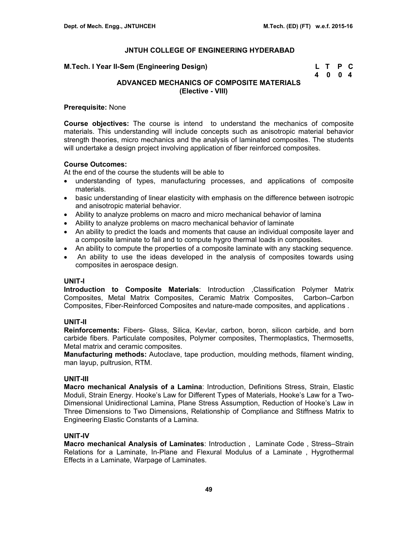| M.Tech. I Year II-Sem (Engineering Design) | L T P C |  |
|--------------------------------------------|---------|--|
|                                            | 4004    |  |

# **ADVANCED MECHANICS OF COMPOSITE MATERIALS (Elective - VIII)**

#### **Prerequisite:** None

**Course objectives:** The course is intend to understand the mechanics of composite materials. This understanding will include concepts such as anisotropic material behavior strength theories, micro mechanics and the analysis of laminated composites. The students will undertake a design project involving application of fiber reinforced composites.

## **Course Outcomes:**

At the end of the course the students will be able to

- understanding of types, manufacturing processes, and applications of composite materials.
- basic understanding of linear elasticity with emphasis on the difference between isotropic and anisotropic material behavior.
- Ability to analyze problems on macro and micro mechanical behavior of lamina
- Ability to analyze problems on macro mechanical behavior of laminate
- An ability to predict the loads and moments that cause an individual composite layer and a composite laminate to fail and to compute hygro thermal loads in composites.
- An ability to compute the properties of a composite laminate with any stacking sequence.
- An ability to use the ideas developed in the analysis of composites towards using composites in aerospace design.

#### **UNIT-I**

**Introduction to Composite Materials**: Introduction ,Classification Polymer Matrix Composites, Metal Matrix Composites, Ceramic Matrix Composites, Carbon–Carbon Composites, Fiber-Reinforced Composites and nature-made composites, and applications .

## **UNIT-II**

**Reinforcements:** Fibers- Glass, Silica, Kevlar, carbon, boron, silicon carbide, and born carbide fibers. Particulate composites, Polymer composites, Thermoplastics, Thermosetts, Metal matrix and ceramic composites.

**Manufacturing methods:** Autoclave, tape production, moulding methods, filament winding, man layup, pultrusion, RTM.

#### **UNIT-III**

**Macro mechanical Analysis of a Lamina**: Introduction, Definitions Stress, Strain, Elastic Moduli, Strain Energy. Hooke's Law for Different Types of Materials, Hooke's Law for a Two-Dimensional Unidirectional Lamina, Plane Stress Assumption, Reduction of Hooke's Law in Three Dimensions to Two Dimensions, Relationship of Compliance and Stiffness Matrix to Engineering Elastic Constants of a Lamina.

## **UNIT-IV**

**Macro mechanical Analysis of Laminates**: Introduction , Laminate Code , Stress–Strain Relations for a Laminate, In-Plane and Flexural Modulus of a Laminate , Hygrothermal Effects in a Laminate, Warpage of Laminates.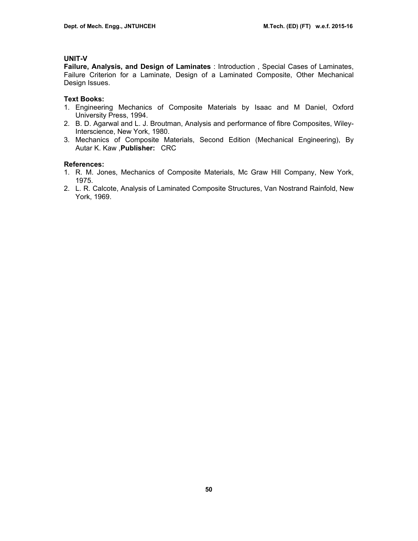## **UNIT-V**

**Failure, Analysis, and Design of Laminates** : Introduction , Special Cases of Laminates, Failure Criterion for a Laminate, Design of a Laminated Composite, Other Mechanical Design Issues.

## **Text Books:**

- 1. Engineering Mechanics of Composite Materials by Isaac and M Daniel, Oxford University Press, 1994.
- 2. B. D. Agarwal and L. J. Broutman, Analysis and performance of fibre Composites, Wiley-Interscience, New York, 1980.
- 3. Mechanics of Composite Materials, Second Edition (Mechanical Engineering), By Autar K. Kaw ,**Publisher:** CRC

- 1. R. M. Jones, Mechanics of Composite Materials, Mc Graw Hill Company, New York, 1975.
- 2. L. R. Calcote, Analysis of Laminated Composite Structures, Van Nostrand Rainfold, New York, 1969.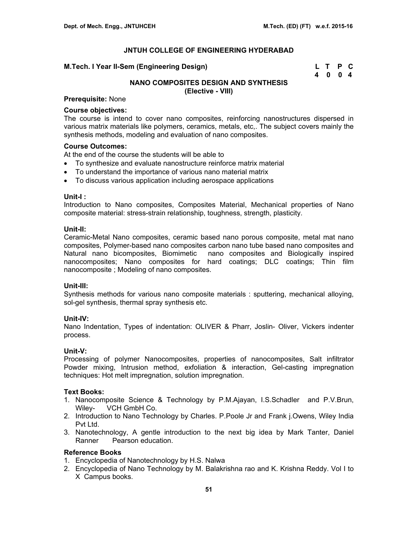#### **M.Tech. I Year II-Sem (Engineering Design)**

| M.Tech. I Year II-Sem (Engineering Design) | L T P C |  |
|--------------------------------------------|---------|--|
|                                            | 4 0 0 4 |  |

# **NANO COMPOSITES DESIGN AND SYNTHESIS (Elective - VIII)**

## **Prerequisite:** None

#### **Course objectives:**

The course is intend to cover nano composites, reinforcing nanostructures dispersed in various matrix materials like polymers, ceramics, metals, etc,. The subject covers mainly the synthesis methods, modeling and evaluation of nano composites.

## **Course Outcomes:**

At the end of the course the students will be able to

- To synthesize and evaluate nanostructure reinforce matrix material
- To understand the importance of various nano material matrix
- To discuss various application including aerospace applications

#### **Unit-I :**

Introduction to Nano composites, Composites Material, Mechanical properties of Nano composite material: stress-strain relationship, toughness, strength, plasticity.

#### **Unit-II:**

Ceramic-Metal Nano composites, ceramic based nano porous composite, metal mat nano composites, Polymer-based nano composites carbon nano tube based nano composites and Natural nano bicomposites, Biomimetic nano composites and Biologically inspired nanocomposites; Nano composites for hard coatings; DLC coatings; Thin film nanocomposite ; Modeling of nano composites.

#### **Unit-III:**

Synthesis methods for various nano composite materials : sputtering, mechanical alloying, sol-gel synthesis, thermal spray synthesis etc.

#### **Unit-IV:**

Nano Indentation, Types of indentation: OLIVER & Pharr, Joslin- Oliver, Vickers indenter process.

## **Unit-V:**

Processing of polymer Nanocomposites, properties of nanocomposites, Salt infiltrator Powder mixing, Intrusion method, exfoliation & interaction, Gel-casting impregnation techniques: Hot melt impregnation, solution impregnation.

### **Text Books:**

- 1. Nanocomposite Science & Technology by P.M.Ajayan, I.S.Schadler and P.V.Brun, Wiley- VCH GmbH Co.
- 2. Introduction to Nano Technology by Charles. P.Poole Jr and Frank j.Owens, Wiley India Pvt Ltd.
- 3. Nanotechnology, A gentle introduction to the next big idea by Mark Tanter, Daniel Ranner Pearson education.

## **Reference Books**

- 1. Encyclopedia of Nanotechnology by H.S. Nalwa
- 2. Encyclopedia of Nano Technology by M. Balakrishna rao and K. Krishna Reddy. Vol I to X Campus books.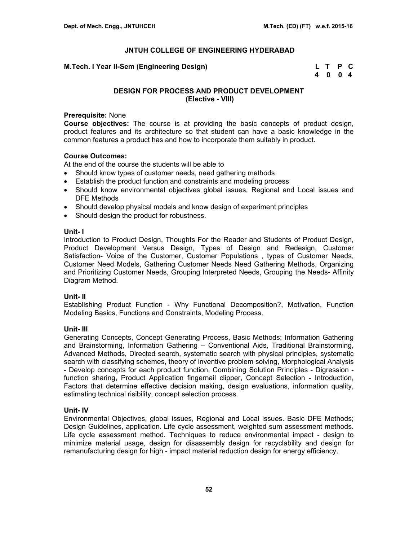**M.Tech. I Year II-Sem (Engineering Design)** 

| M.Tech. I Year II-Sem (Engineering Design) | L T P C |  |
|--------------------------------------------|---------|--|
|                                            | 4004    |  |

## **DESIGN FOR PROCESS AND PRODUCT DEVELOPMENT (Elective - VIII)**

#### **Prerequisite:** None

**Course objectives:** The course is at providing the basic concepts of product design, product features and its architecture so that student can have a basic knowledge in the common features a product has and how to incorporate them suitably in product.

## **Course Outcomes:**

At the end of the course the students will be able to

- Should know types of customer needs, need gathering methods
- Establish the product function and constraints and modeling process
- Should know environmental objectives global issues, Regional and Local issues and DFE Methods
- Should develop physical models and know design of experiment principles
- Should design the product for robustness.

## **Unit- I**

Introduction to Product Design, Thoughts For the Reader and Students of Product Design, Product Development Versus Design, Types of Design and Redesign, Customer Satisfaction- Voice of the Customer, Customer Populations , types of Customer Needs, Customer Need Models, Gathering Customer Needs Need Gathering Methods, Organizing and Prioritizing Customer Needs, Grouping Interpreted Needs, Grouping the Needs- Affinity Diagram Method.

## **Unit- II**

Establishing Product Function - Why Functional Decomposition?, Motivation, Function Modeling Basics, Functions and Constraints, Modeling Process.

## **Unit- III**

Generating Concepts, Concept Generating Process, Basic Methods; Information Gathering and Brainstorming, Information Gathering – Conventional Aids, Traditional Brainstorming, Advanced Methods, Directed search, systematic search with physical principles, systematic search with classifying schemes, theory of inventive problem solving, Morphological Analysis - Develop concepts for each product function, Combining Solution Principles - Digression function sharing, Product Application fingernail clipper, Concept Selection - Introduction, Factors that determine effective decision making, design evaluations, information quality, estimating technical risibility, concept selection process.

## **Unit- IV**

Environmental Objectives, global issues, Regional and Local issues. Basic DFE Methods; Design Guidelines, application. Life cycle assessment, weighted sum assessment methods. Life cycle assessment method. Techniques to reduce environmental impact - design to minimize material usage, design for disassembly design for recyclability and design for remanufacturing design for high - impact material reduction design for energy efficiency.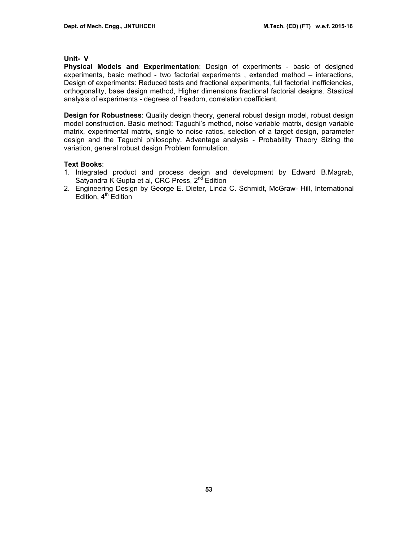#### **Unit- V**

**Physical Models and Experimentation**: Design of experiments - basic of designed experiments, basic method - two factorial experiments , extended method – interactions, Design of experiments: Reduced tests and fractional experiments, full factorial inefficiencies, orthogonality, base design method, Higher dimensions fractional factorial designs. Stastical analysis of experiments - degrees of freedom, correlation coefficient.

**Design for Robustness**: Quality design theory, general robust design model, robust design model construction. Basic method: Taguchi's method, noise variable matrix, design variable matrix, experimental matrix, single to noise ratios, selection of a target design, parameter design and the Taguchi philosophy. Advantage analysis - Probability Theory Sizing the variation, general robust design Problem formulation.

## **Text Books**:

- 1. Integrated product and process design and development by Edward B.Magrab, Satyandra K Gupta et al, CRC Press, 2<sup>nd</sup> Edition
- 2. Engineering Design by George E. Dieter, Linda C. Schmidt, McGraw- Hill, International Edition,  $4<sup>th</sup>$  Edition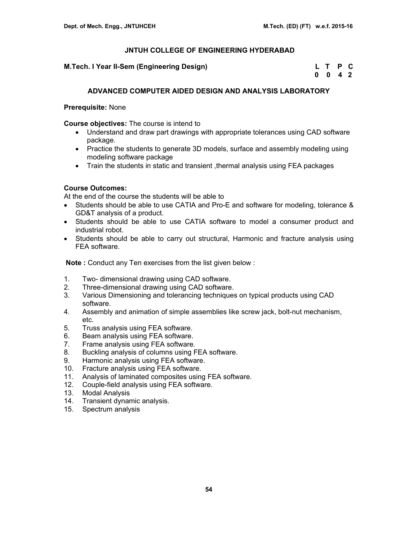**M.Tech. I Year II-Sem (Engineering Design)** 

| M.Tech. I Year II-Sem (Engineering Design) | L T P C         |  |
|--------------------------------------------|-----------------|--|
|                                            | $0 \t0 \t4 \t2$ |  |

## **ADVANCED COMPUTER AIDED DESIGN AND ANALYSIS LABORATORY**

## **Prerequisite:** None

**Course objectives:** The course is intend to

- Understand and draw part drawings with appropriate tolerances using CAD software package.
- Practice the students to generate 3D models, surface and assembly modeling using modeling software package
- Train the students in static and transient , thermal analysis using FEA packages

## **Course Outcomes:**

At the end of the course the students will be able to

- Students should be able to use CATIA and Pro-E and software for modeling, tolerance & GD&T analysis of a product.
- Students should be able to use CATIA software to model a consumer product and industrial robot.
- Students should be able to carry out structural, Harmonic and fracture analysis using FEA software.

**Note :** Conduct any Ten exercises from the list given below :

- 1. Two- dimensional drawing using CAD software.
- 2. Three-dimensional drawing using CAD software.
- 3. Various Dimensioning and tolerancing techniques on typical products using CAD software.
- 4. Assembly and animation of simple assemblies like screw jack, bolt-nut mechanism, etc.
- 5. Truss analysis using FEA software.
- 6. Beam analysis using FEA software.
- 7. Frame analysis using FEA software.
- 8. Buckling analysis of columns using FEA software.
- 9. Harmonic analysis using FEA software.
- 10. Fracture analysis using FEA software.
- 11. Analysis of laminated composites using FEA software.
- 12. Couple-field analysis using FEA software.
- 13. Modal Analysis
- 14. Transient dynamic analysis.
- 15. Spectrum analysis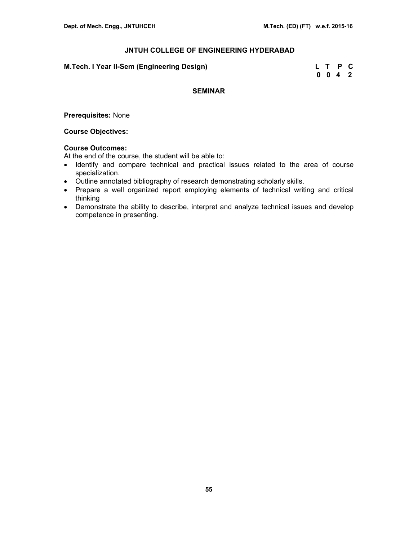| M.Tech. I Year II-Sem (Engineering Design) |  | L T P C |  |
|--------------------------------------------|--|---------|--|
|                                            |  | 0 0 4 2 |  |

## **SEMINAR**

**Prerequisites:** None

## **Course Objectives:**

# **Course Outcomes:**

At the end of the course, the student will be able to:

- Identify and compare technical and practical issues related to the area of course specialization.
- Outline annotated bibliography of research demonstrating scholarly skills.
- Prepare a well organized report employing elements of technical writing and critical thinking
- Demonstrate the ability to describe, interpret and analyze technical issues and develop competence in presenting.